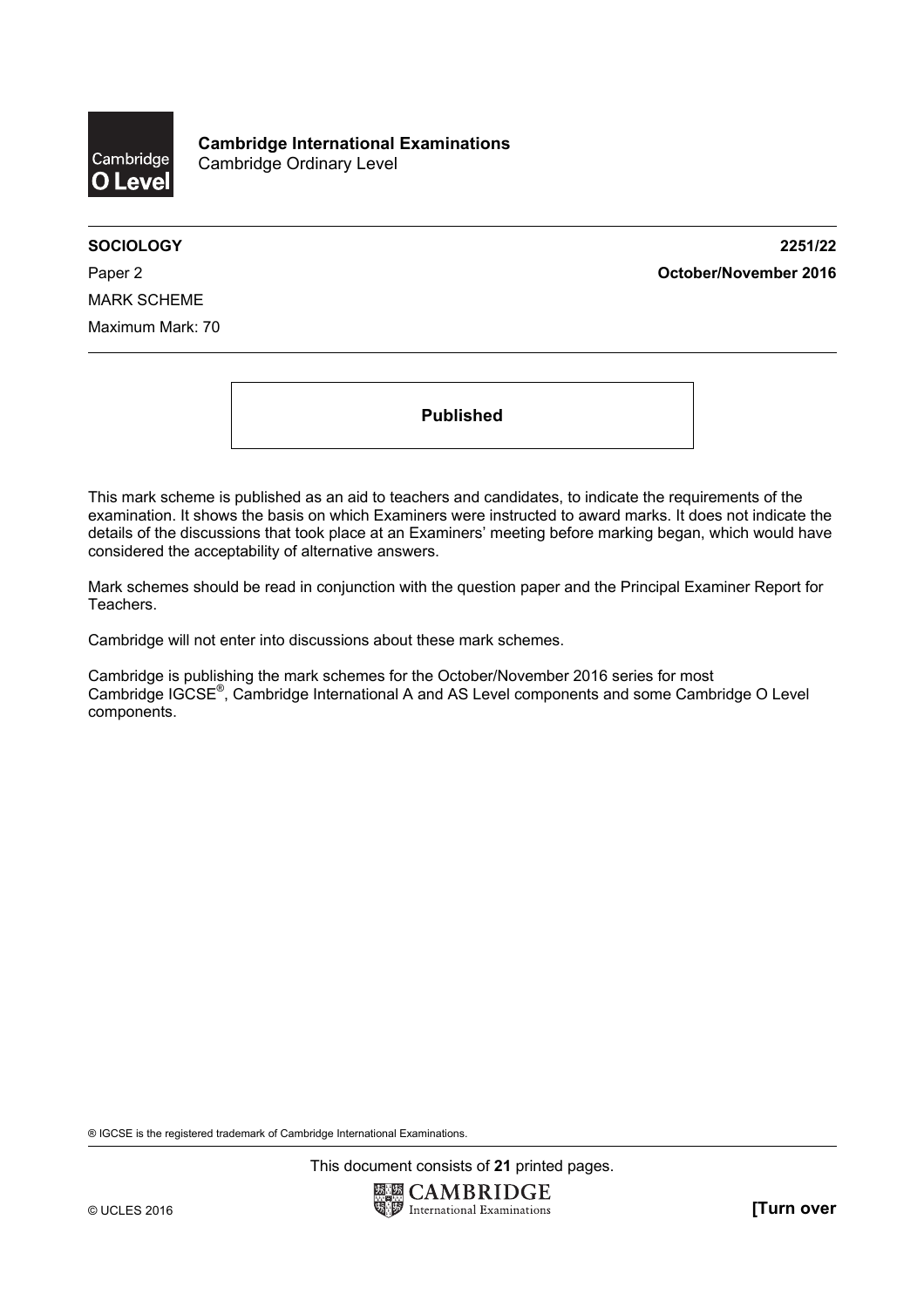

**SOCIOLOGY 2251/22**  Paper 2 **October/November 2016**

MARK SCHEME Maximum Mark: 70

**Published** 

This mark scheme is published as an aid to teachers and candidates, to indicate the requirements of the examination. It shows the basis on which Examiners were instructed to award marks. It does not indicate the details of the discussions that took place at an Examiners' meeting before marking began, which would have considered the acceptability of alternative answers.

Mark schemes should be read in conjunction with the question paper and the Principal Examiner Report for Teachers.

Cambridge will not enter into discussions about these mark schemes.

Cambridge is publishing the mark schemes for the October/November 2016 series for most Cambridge IGCSE®, Cambridge International A and AS Level components and some Cambridge O Level components.

® IGCSE is the registered trademark of Cambridge International Examinations.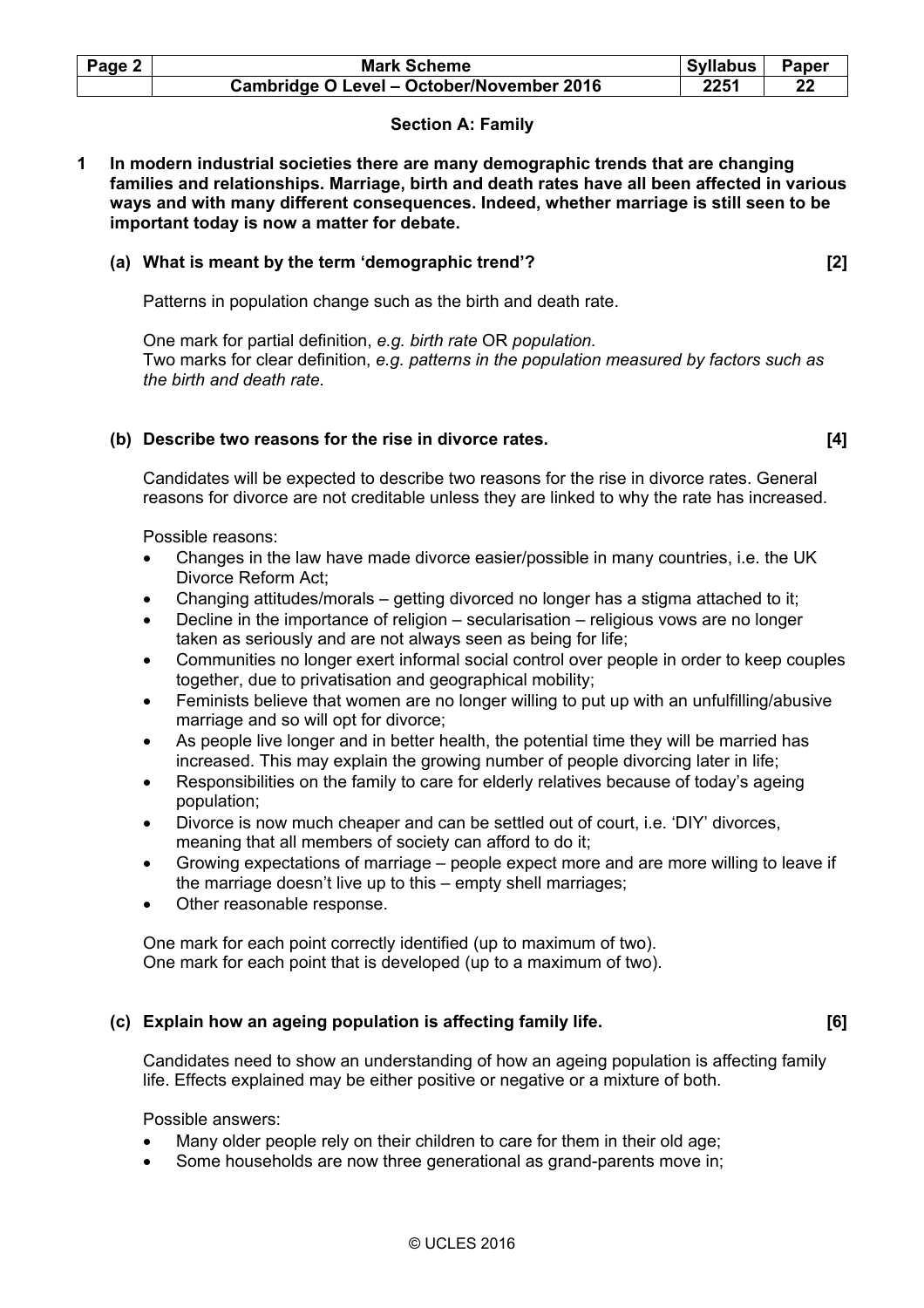| Page 2 | <b>Mark Scheme</b>                        | <b>Syllabus</b> | <b>Paper</b> |
|--------|-------------------------------------------|-----------------|--------------|
|        | Cambridge O Level - October/November 2016 | 2251            |              |

# **Section A: Family**

**1 In modern industrial societies there are many demographic trends that are changing families and relationships. Marriage, birth and death rates have all been affected in various ways and with many different consequences. Indeed, whether marriage is still seen to be important today is now a matter for debate.** 

#### **(a) What is meant by the term 'demographic trend'? [2]**

Patterns in population change such as the birth and death rate.

 One mark for partial definition, *e.g. birth rate* OR *population.*  Two marks for clear definition, *e.g. patterns in the population measured by factors such as the birth and death rate.* 

### **(b) Describe two reasons for the rise in divorce rates. [4]**

 Candidates will be expected to describe two reasons for the rise in divorce rates. General reasons for divorce are not creditable unless they are linked to why the rate has increased.

Possible reasons:

- Changes in the law have made divorce easier/possible in many countries, i.e. the UK Divorce Reform Act;
- Changing attitudes/morals getting divorced no longer has a stigma attached to it;
- Decline in the importance of religion secularisation religious vows are no longer taken as seriously and are not always seen as being for life;
- Communities no longer exert informal social control over people in order to keep couples together, due to privatisation and geographical mobility;
- Feminists believe that women are no longer willing to put up with an unfulfilling/abusive marriage and so will opt for divorce;
- As people live longer and in better health, the potential time they will be married has increased. This may explain the growing number of people divorcing later in life;
- Responsibilities on the family to care for elderly relatives because of today's ageing population;
- Divorce is now much cheaper and can be settled out of court, i.e. 'DIY' divorces, meaning that all members of society can afford to do it;
- Growing expectations of marriage people expect more and are more willing to leave if the marriage doesn't live up to this – empty shell marriages;
- Other reasonable response.

 One mark for each point correctly identified (up to maximum of two). One mark for each point that is developed (up to a maximum of two).

# **(c) Explain how an ageing population is affecting family life. [6]**

 Candidates need to show an understanding of how an ageing population is affecting family life. Effects explained may be either positive or negative or a mixture of both.

Possible answers:

- Many older people rely on their children to care for them in their old age;
- Some households are now three generational as grand-parents move in;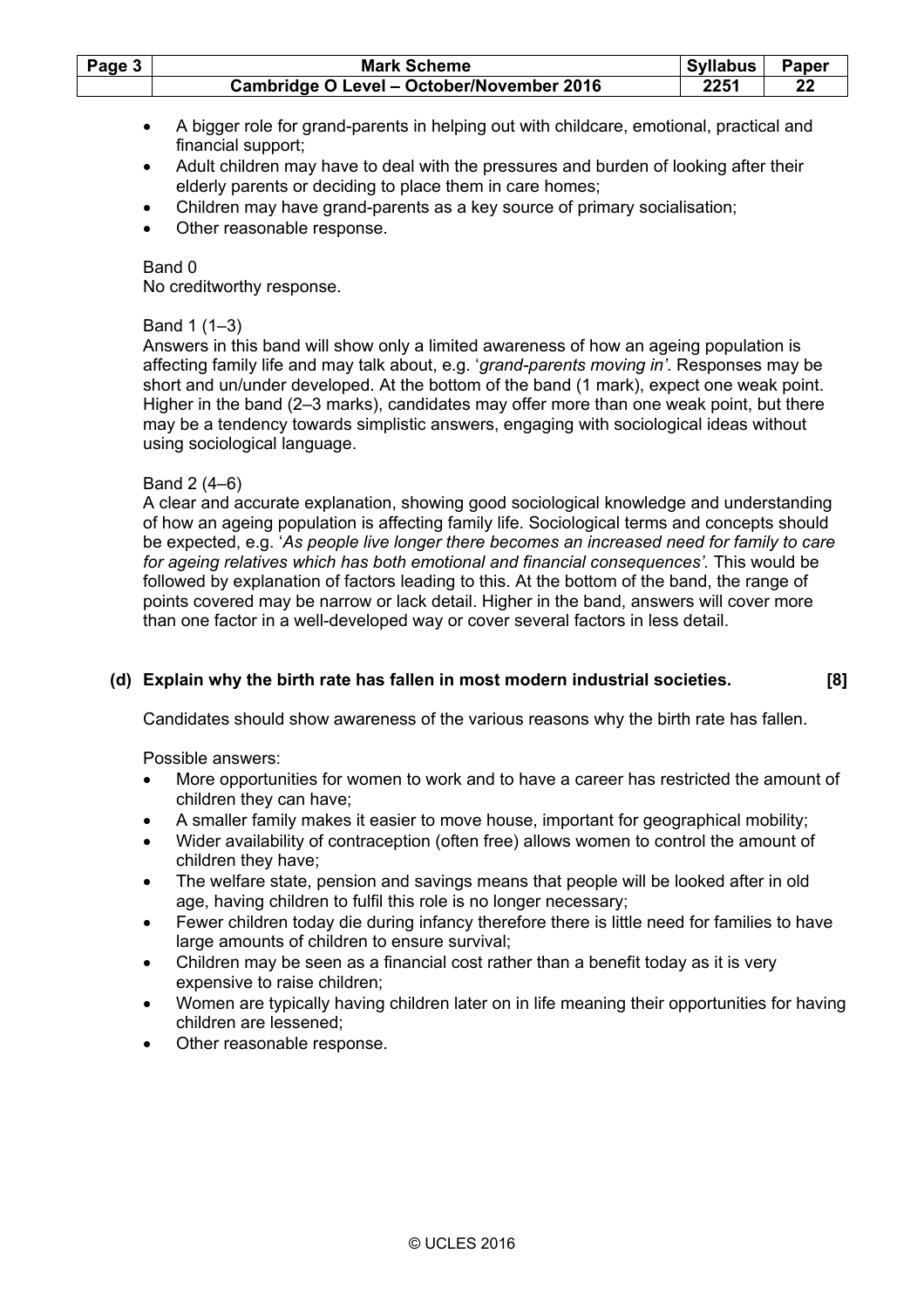| Page 3 | <b>Mark Scheme</b>                        | Syllabus | <b>Paper</b> |
|--------|-------------------------------------------|----------|--------------|
|        | Cambridge O Level - October/November 2016 | 2251     | 22           |

- A bigger role for grand-parents in helping out with childcare, emotional, practical and financial support;
- Adult children may have to deal with the pressures and burden of looking after their elderly parents or deciding to place them in care homes;
- Children may have grand-parents as a key source of primary socialisation;
- Other reasonable response.

No creditworthy response.

## Band 1 (1–3)

 Answers in this band will show only a limited awareness of how an ageing population is affecting family life and may talk about, e.g. '*grand-parents moving in'*. Responses may be short and un/under developed. At the bottom of the band (1 mark), expect one weak point. Higher in the band (2–3 marks), candidates may offer more than one weak point, but there may be a tendency towards simplistic answers, engaging with sociological ideas without using sociological language.

### Band 2 (4–6)

 A clear and accurate explanation, showing good sociological knowledge and understanding of how an ageing population is affecting family life. Sociological terms and concepts should be expected, e.g. '*As people live longer there becomes an increased need for family to care for ageing relatives which has both emotional and financial consequences'.* This would be followed by explanation of factors leading to this. At the bottom of the band, the range of points covered may be narrow or lack detail. Higher in the band, answers will cover more than one factor in a well-developed way or cover several factors in less detail.

# **(d) Explain why the birth rate has fallen in most modern industrial societies. [8]**

Candidates should show awareness of the various reasons why the birth rate has fallen.

Possible answers:

- More opportunities for women to work and to have a career has restricted the amount of children they can have;
- A smaller family makes it easier to move house, important for geographical mobility;
- Wider availability of contraception (often free) allows women to control the amount of children they have;
- The welfare state, pension and savings means that people will be looked after in old age, having children to fulfil this role is no longer necessary;
- Fewer children today die during infancy therefore there is little need for families to have large amounts of children to ensure survival;
- Children may be seen as a financial cost rather than a benefit today as it is very expensive to raise children;
- Women are typically having children later on in life meaning their opportunities for having children are lessened;
- Other reasonable response.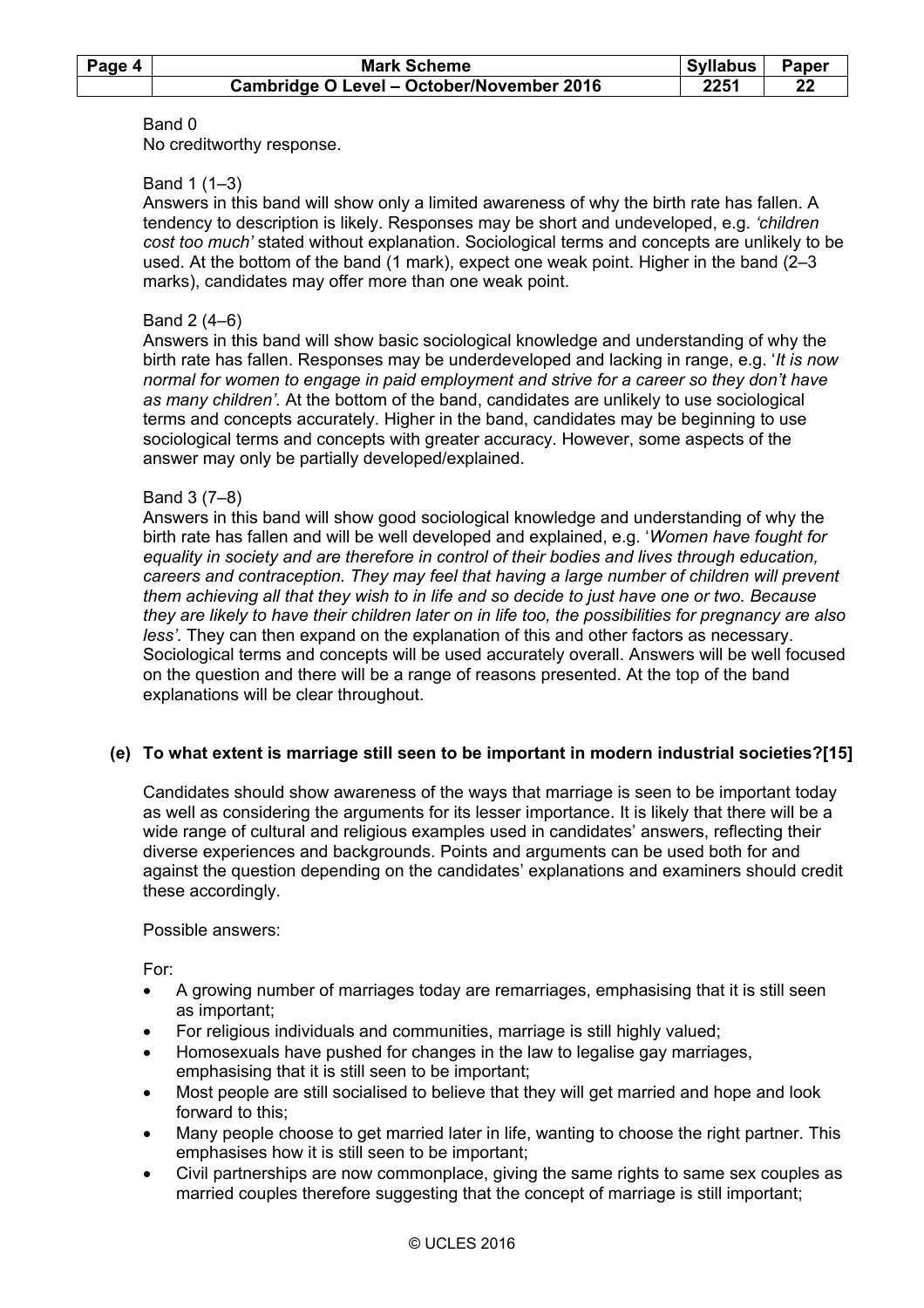| Page 4 | <b>Mark Scheme</b>                        | Syllabus | Paper |
|--------|-------------------------------------------|----------|-------|
|        | Cambridge O Level - October/November 2016 | 2251     | 22    |

No creditworthy response.

### Band 1 (1–3)

 Answers in this band will show only a limited awareness of why the birth rate has fallen. A tendency to description is likely. Responses may be short and undeveloped, e.g. *'children cost too much'* stated without explanation. Sociological terms and concepts are unlikely to be used. At the bottom of the band (1 mark), expect one weak point. Higher in the band (2–3 marks), candidates may offer more than one weak point.

### Band 2 (4–6)

 Answers in this band will show basic sociological knowledge and understanding of why the birth rate has fallen. Responses may be underdeveloped and lacking in range, e.g. '*It is now normal for women to engage in paid employment and strive for a career so they don't have as many children'.* At the bottom of the band, candidates are unlikely to use sociological terms and concepts accurately. Higher in the band, candidates may be beginning to use sociological terms and concepts with greater accuracy. However, some aspects of the answer may only be partially developed/explained.

#### Band 3 (7–8)

 Answers in this band will show good sociological knowledge and understanding of why the birth rate has fallen and will be well developed and explained, e.g. '*Women have fought for equality in society and are therefore in control of their bodies and lives through education, careers and contraception. They may feel that having a large number of children will prevent them achieving all that they wish to in life and so decide to just have one or two. Because they are likely to have their children later on in life too, the possibilities for pregnancy are also less'.* They can then expand on the explanation of this and other factors as necessary. Sociological terms and concepts will be used accurately overall. Answers will be well focused on the question and there will be a range of reasons presented. At the top of the band explanations will be clear throughout.

# **(e) To what extent is marriage still seen to be important in modern industrial societies?[15]**

 Candidates should show awareness of the ways that marriage is seen to be important today as well as considering the arguments for its lesser importance. It is likely that there will be a wide range of cultural and religious examples used in candidates' answers, reflecting their diverse experiences and backgrounds. Points and arguments can be used both for and against the question depending on the candidates' explanations and examiners should credit these accordingly.

#### Possible answers:

For:

- A growing number of marriages today are remarriages, emphasising that it is still seen as important;
- For religious individuals and communities, marriage is still highly valued;
- Homosexuals have pushed for changes in the law to legalise gay marriages, emphasising that it is still seen to be important;
- Most people are still socialised to believe that they will get married and hope and look forward to this;
- Many people choose to get married later in life, wanting to choose the right partner. This emphasises how it is still seen to be important;
- Civil partnerships are now commonplace, giving the same rights to same sex couples as married couples therefore suggesting that the concept of marriage is still important;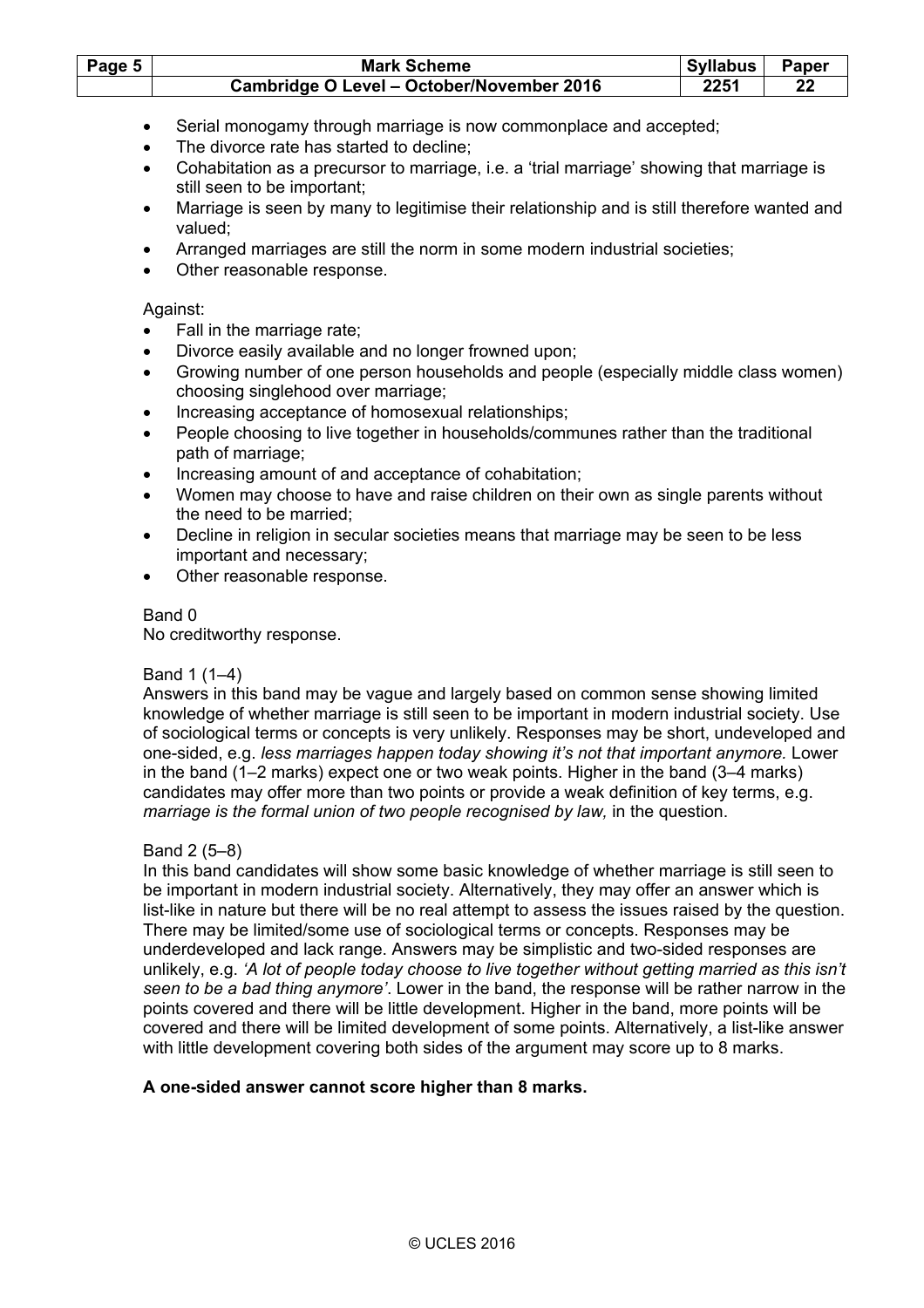| Page 5 | <b>Mark Scheme</b>                        | Syllabus | <b>Paper</b> |
|--------|-------------------------------------------|----------|--------------|
|        | Cambridge O Level - October/November 2016 | 2251     | 22           |

- Serial monogamy through marriage is now commonplace and accepted;
- The divorce rate has started to decline:
- Cohabitation as a precursor to marriage, i.e. a 'trial marriage' showing that marriage is still seen to be important;
- Marriage is seen by many to legitimise their relationship and is still therefore wanted and valued;
- Arranged marriages are still the norm in some modern industrial societies;
- Other reasonable response.

## Against:

- Fall in the marriage rate;
- Divorce easily available and no longer frowned upon;
- Growing number of one person households and people (especially middle class women) choosing singlehood over marriage;
- Increasing acceptance of homosexual relationships;
- People choosing to live together in households/communes rather than the traditional path of marriage;
- Increasing amount of and acceptance of cohabitation;
- Women may choose to have and raise children on their own as single parents without the need to be married;
- Decline in religion in secular societies means that marriage may be seen to be less important and necessary;
- Other reasonable response.

# Band 0

No creditworthy response.

# Band 1 (1–4)

 Answers in this band may be vague and largely based on common sense showing limited knowledge of whether marriage is still seen to be important in modern industrial society. Use of sociological terms or concepts is very unlikely. Responses may be short, undeveloped and one-sided, e.g. *less marriages happen today showing it's not that important anymore.* Lower in the band (1–2 marks) expect one or two weak points. Higher in the band (3–4 marks) candidates may offer more than two points or provide a weak definition of key terms, e.g. *marriage is the formal union of two people recognised by law,* in the question.

# Band 2 (5–8)

 In this band candidates will show some basic knowledge of whether marriage is still seen to be important in modern industrial society. Alternatively, they may offer an answer which is list-like in nature but there will be no real attempt to assess the issues raised by the question. There may be limited/some use of sociological terms or concepts. Responses may be underdeveloped and lack range. Answers may be simplistic and two-sided responses are unlikely, e.g. *'A lot of people today choose to live together without getting married as this isn't seen to be a bad thing anymore'*. Lower in the band, the response will be rather narrow in the points covered and there will be little development. Higher in the band, more points will be covered and there will be limited development of some points. Alternatively, a list-like answer with little development covering both sides of the argument may score up to 8 marks.

# **A one-sided answer cannot score higher than 8 marks.**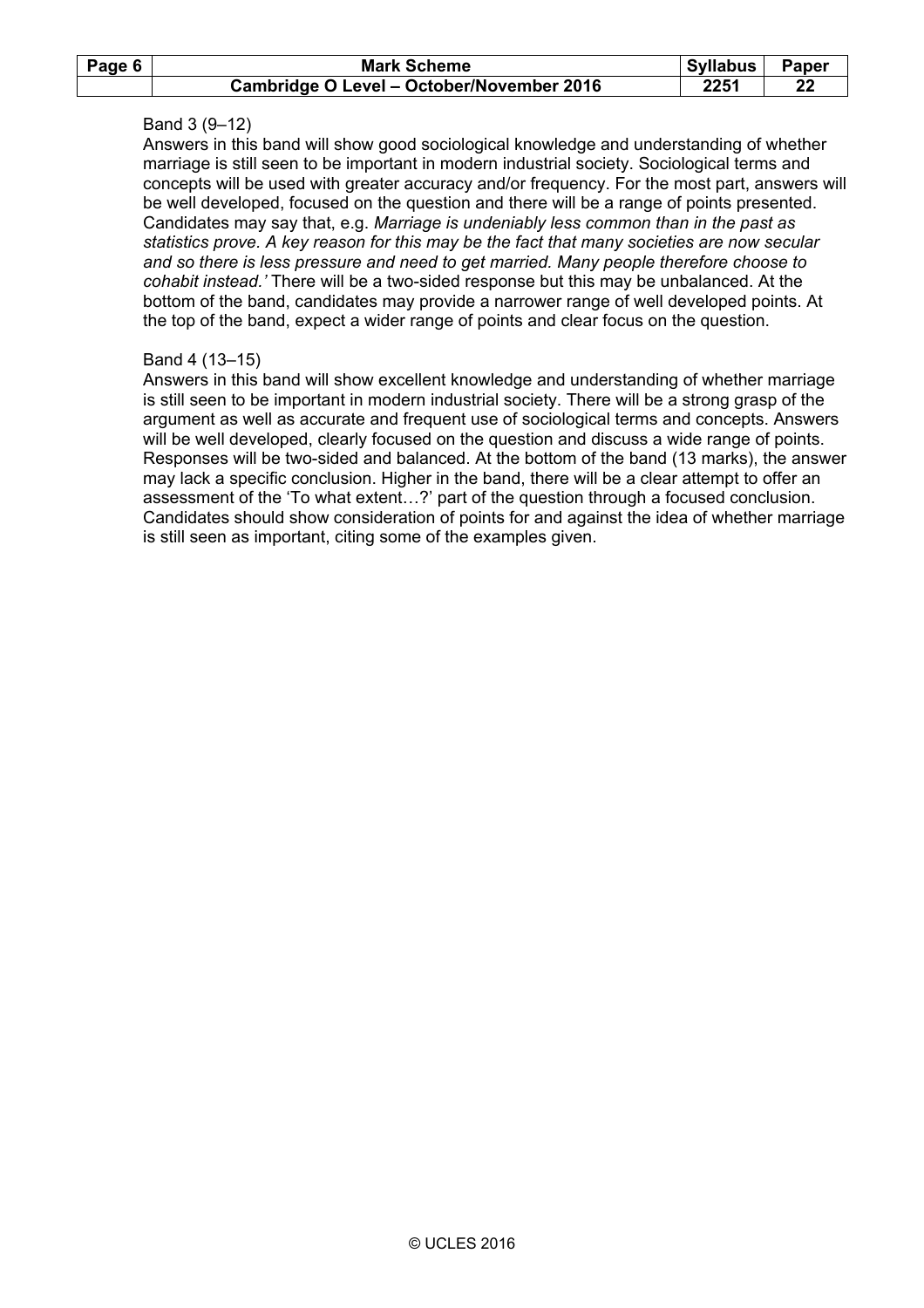| Page 6 | <b>Mark Scheme</b>                        | Syllabus | <b>Paper</b> |
|--------|-------------------------------------------|----------|--------------|
|        | Cambridge O Level - October/November 2016 | 2251     | 22           |

## Band 3 (9–12)

 Answers in this band will show good sociological knowledge and understanding of whether marriage is still seen to be important in modern industrial society. Sociological terms and concepts will be used with greater accuracy and/or frequency. For the most part, answers will be well developed, focused on the question and there will be a range of points presented. Candidates may say that, e.g. *Marriage is undeniably less common than in the past as statistics prove. A key reason for this may be the fact that many societies are now secular and so there is less pressure and need to get married. Many people therefore choose to cohabit instead.'* There will be a two-sided response but this may be unbalanced. At the bottom of the band, candidates may provide a narrower range of well developed points. At the top of the band, expect a wider range of points and clear focus on the question.

### Band 4 (13–15)

 Answers in this band will show excellent knowledge and understanding of whether marriage is still seen to be important in modern industrial society. There will be a strong grasp of the argument as well as accurate and frequent use of sociological terms and concepts. Answers will be well developed, clearly focused on the question and discuss a wide range of points. Responses will be two-sided and balanced. At the bottom of the band (13 marks), the answer may lack a specific conclusion. Higher in the band, there will be a clear attempt to offer an assessment of the 'To what extent…?' part of the question through a focused conclusion. Candidates should show consideration of points for and against the idea of whether marriage is still seen as important, citing some of the examples given.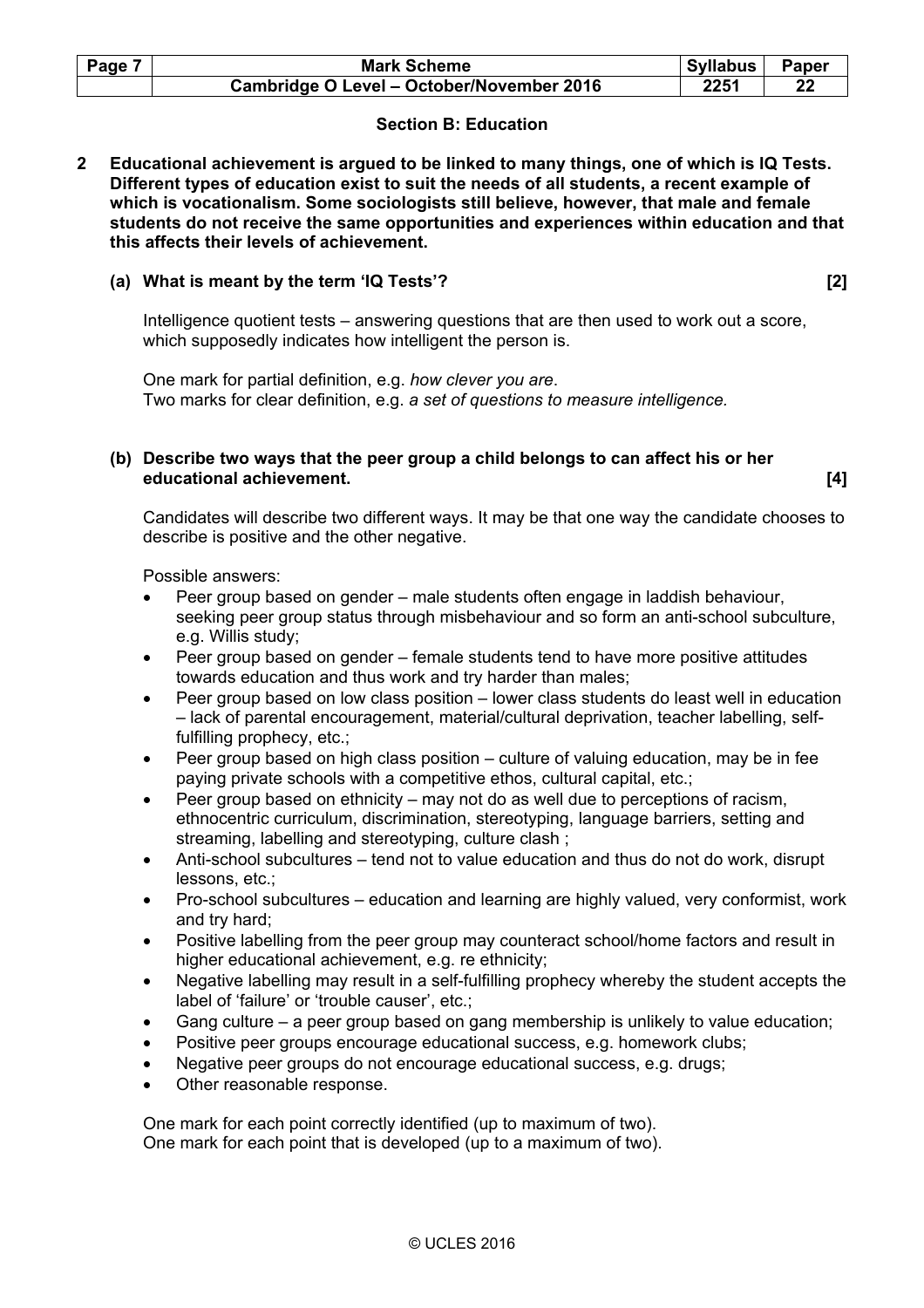| Page 7 | <b>Mark Scheme</b>                        | <b>Syllabus</b> | Paper |
|--------|-------------------------------------------|-----------------|-------|
|        | Cambridge O Level - October/November 2016 | 2251            | 22    |

# **Section B: Education**

**2 Educational achievement is argued to be linked to many things, one of which is IQ Tests. Different types of education exist to suit the needs of all students, a recent example of which is vocationalism. Some sociologists still believe, however, that male and female students do not receive the same opportunities and experiences within education and that this affects their levels of achievement.** 

# **(a) What is meant by the term 'IQ Tests'? [2]**

 Intelligence quotient tests – answering questions that are then used to work out a score, which supposedly indicates how intelligent the person is.

 One mark for partial definition, e.g. *how clever you are*. Two marks for clear definition, e.g. *a set of questions to measure intelligence.* 

## **(b) Describe two ways that the peer group a child belongs to can affect his or her educational achievement. [4]**

 Candidates will describe two different ways. It may be that one way the candidate chooses to describe is positive and the other negative.

Possible answers:

- Peer group based on gender male students often engage in laddish behaviour, seeking peer group status through misbehaviour and so form an anti-school subculture, e.g. Willis study;
- Peer group based on gender female students tend to have more positive attitudes towards education and thus work and try harder than males;
- Peer group based on low class position lower class students do least well in education – lack of parental encouragement, material/cultural deprivation, teacher labelling, selffulfilling prophecy, etc.;
- Peer group based on high class position culture of valuing education, may be in fee paying private schools with a competitive ethos, cultural capital, etc.;
- Peer group based on ethnicity may not do as well due to perceptions of racism, ethnocentric curriculum, discrimination, stereotyping, language barriers, setting and streaming, labelling and stereotyping, culture clash ;
- Anti-school subcultures tend not to value education and thus do not do work, disrupt lessons, etc.;
- Pro-school subcultures education and learning are highly valued, very conformist, work and try hard;
- Positive labelling from the peer group may counteract school/home factors and result in higher educational achievement, e.g. re ethnicity;
- Negative labelling may result in a self-fulfilling prophecy whereby the student accepts the label of 'failure' or 'trouble causer', etc.;
- Gang culture a peer group based on gang membership is unlikely to value education;
- Positive peer groups encourage educational success, e.g. homework clubs;
- Negative peer groups do not encourage educational success, e.g. drugs;
- Other reasonable response.

 One mark for each point correctly identified (up to maximum of two). One mark for each point that is developed (up to a maximum of two).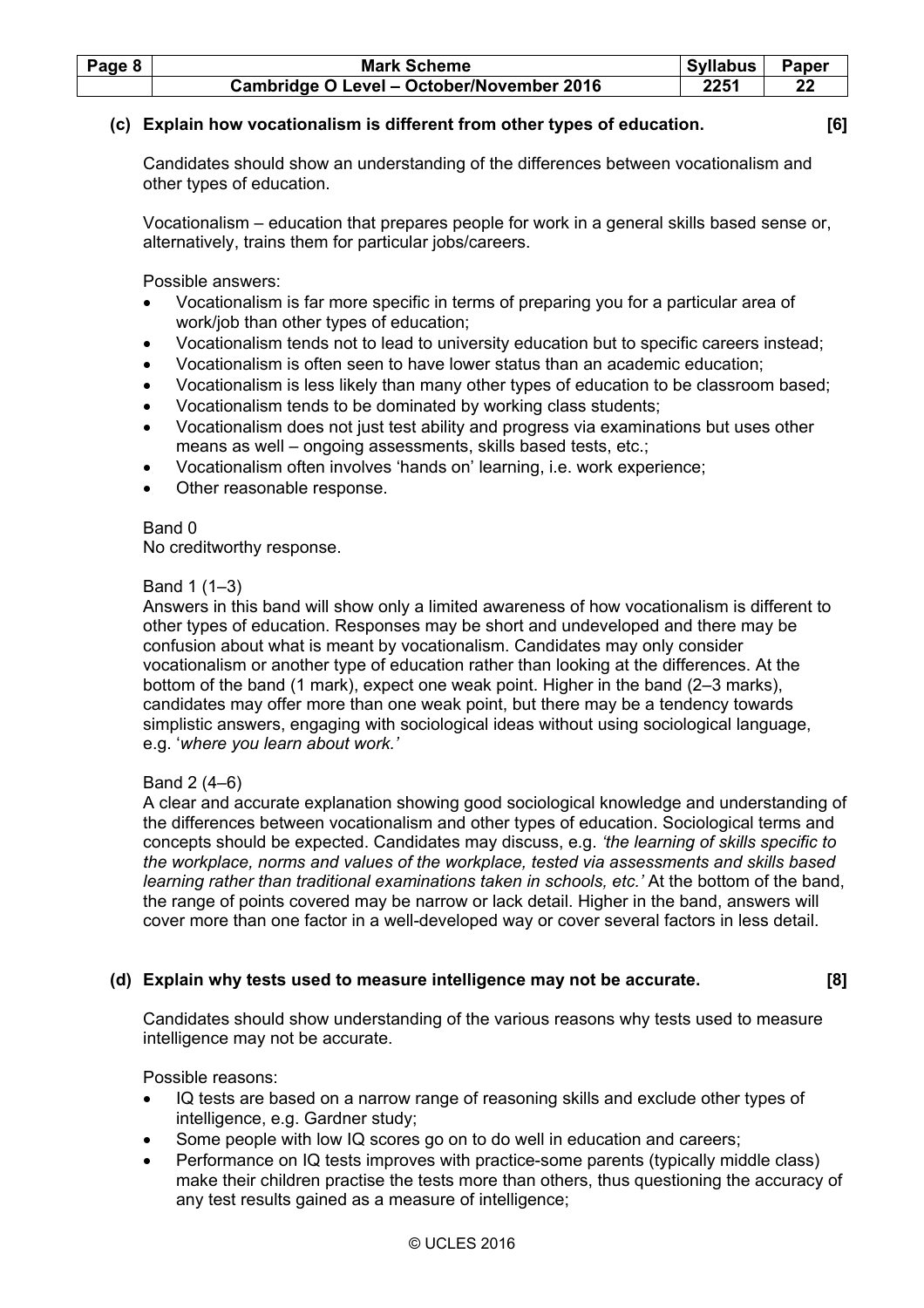| Page 8 | <b>Mark Scheme</b>                        | Syllabus | <b>Paper</b> |
|--------|-------------------------------------------|----------|--------------|
|        | Cambridge O Level - October/November 2016 | 2251     |              |

# **(c) Explain how vocationalism is different from other types of education. [6]**

 Candidates should show an understanding of the differences between vocationalism and other types of education.

 Vocationalism – education that prepares people for work in a general skills based sense or, alternatively, trains them for particular jobs/careers.

Possible answers:

- Vocationalism is far more specific in terms of preparing you for a particular area of work/job than other types of education;
- Vocationalism tends not to lead to university education but to specific careers instead;
- Vocationalism is often seen to have lower status than an academic education;
- Vocationalism is less likely than many other types of education to be classroom based;
- Vocationalism tends to be dominated by working class students;
- Vocationalism does not just test ability and progress via examinations but uses other means as well – ongoing assessments, skills based tests, etc.;
- Vocationalism often involves 'hands on' learning, i.e. work experience;
- Other reasonable response.

Band 0

No creditworthy response.

### Band 1 (1–3)

 Answers in this band will show only a limited awareness of how vocationalism is different to other types of education. Responses may be short and undeveloped and there may be confusion about what is meant by vocationalism. Candidates may only consider vocationalism or another type of education rather than looking at the differences. At the bottom of the band (1 mark), expect one weak point. Higher in the band (2–3 marks), candidates may offer more than one weak point, but there may be a tendency towards simplistic answers, engaging with sociological ideas without using sociological language, e.g. '*where you learn about work.'* 

# Band 2 (4–6)

 A clear and accurate explanation showing good sociological knowledge and understanding of the differences between vocationalism and other types of education. Sociological terms and concepts should be expected. Candidates may discuss, e.g. *'the learning of skills specific to the workplace, norms and values of the workplace, tested via assessments and skills based learning rather than traditional examinations taken in schools, etc.'* At the bottom of the band, the range of points covered may be narrow or lack detail. Higher in the band, answers will cover more than one factor in a well-developed way or cover several factors in less detail.

# **(d) Explain why tests used to measure intelligence may not be accurate. [8]**

 Candidates should show understanding of the various reasons why tests used to measure intelligence may not be accurate.

Possible reasons:

- IQ tests are based on a narrow range of reasoning skills and exclude other types of intelligence, e.g. Gardner study;
- Some people with low IQ scores go on to do well in education and careers;
- Performance on IQ tests improves with practice-some parents (typically middle class) make their children practise the tests more than others, thus questioning the accuracy of any test results gained as a measure of intelligence;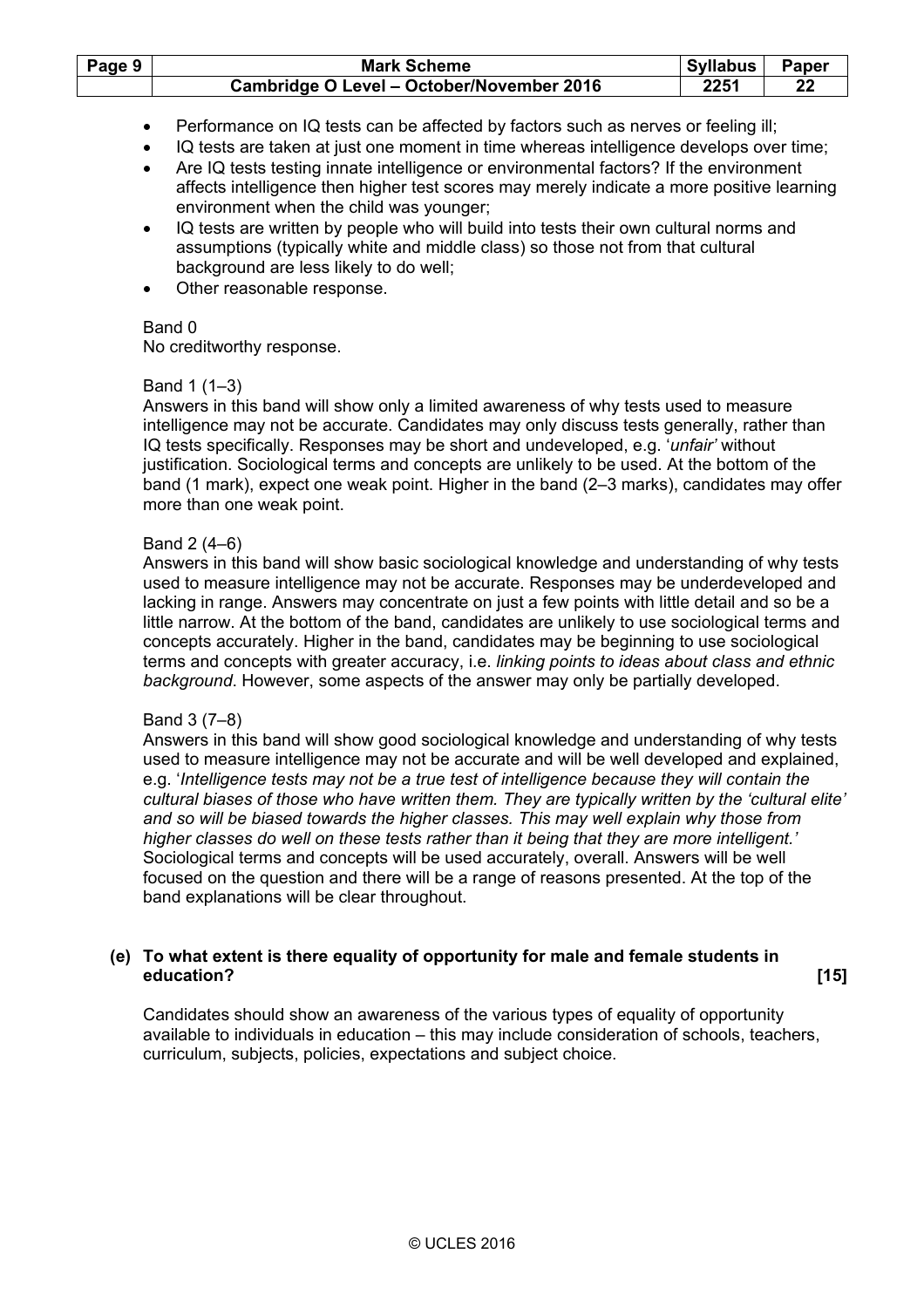| Page 9 | <b>Mark Scheme</b>                        | Syllabus | Paper |
|--------|-------------------------------------------|----------|-------|
|        | Cambridge O Level - October/November 2016 | 2251     | 22    |

- Performance on IQ tests can be affected by factors such as nerves or feeling ill;
- IQ tests are taken at just one moment in time whereas intelligence develops over time;
- Are IQ tests testing innate intelligence or environmental factors? If the environment affects intelligence then higher test scores may merely indicate a more positive learning environment when the child was younger;
- IQ tests are written by people who will build into tests their own cultural norms and assumptions (typically white and middle class) so those not from that cultural background are less likely to do well;
- Other reasonable response.

No creditworthy response.

### Band 1 (1–3)

 Answers in this band will show only a limited awareness of why tests used to measure intelligence may not be accurate. Candidates may only discuss tests generally, rather than IQ tests specifically. Responses may be short and undeveloped, e.g. '*unfair'* without justification. Sociological terms and concepts are unlikely to be used. At the bottom of the band (1 mark), expect one weak point. Higher in the band (2–3 marks), candidates may offer more than one weak point.

### Band 2 (4–6)

 Answers in this band will show basic sociological knowledge and understanding of why tests used to measure intelligence may not be accurate. Responses may be underdeveloped and lacking in range. Answers may concentrate on just a few points with little detail and so be a little narrow. At the bottom of the band, candidates are unlikely to use sociological terms and concepts accurately. Higher in the band, candidates may be beginning to use sociological terms and concepts with greater accuracy, i.e. *linking points to ideas about class and ethnic background*. However, some aspects of the answer may only be partially developed.

# Band 3 (7–8)

 Answers in this band will show good sociological knowledge and understanding of why tests used to measure intelligence may not be accurate and will be well developed and explained, e.g. '*Intelligence tests may not be a true test of intelligence because they will contain the cultural biases of those who have written them. They are typically written by the 'cultural elite' and so will be biased towards the higher classes. This may well explain why those from higher classes do well on these tests rather than it being that they are more intelligent.'*  Sociological terms and concepts will be used accurately, overall. Answers will be well focused on the question and there will be a range of reasons presented. At the top of the band explanations will be clear throughout.

# **(e) To what extent is there equality of opportunity for male and female students in education? [15]**

 Candidates should show an awareness of the various types of equality of opportunity available to individuals in education – this may include consideration of schools, teachers, curriculum, subjects, policies, expectations and subject choice.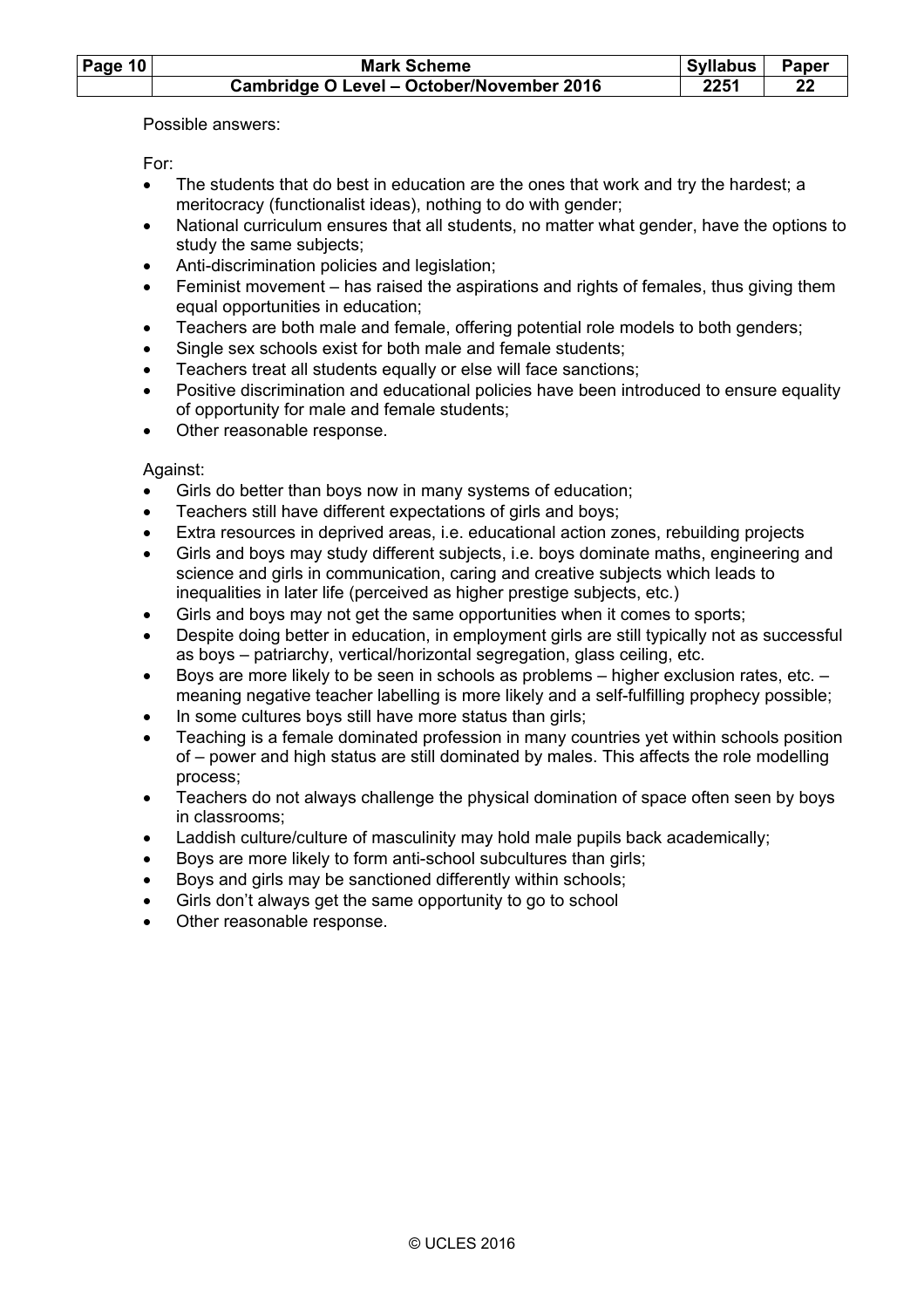| Page 10 | <b>Mark Scheme</b>                               | Syllabus | Paper |
|---------|--------------------------------------------------|----------|-------|
|         | <b>Cambridge O Level - October/November 2016</b> | 2251     |       |

Possible answers:

For:

- The students that do best in education are the ones that work and try the hardest; a meritocracy (functionalist ideas), nothing to do with gender;
- National curriculum ensures that all students, no matter what gender, have the options to study the same subjects;
- Anti-discrimination policies and legislation;
- Feminist movement has raised the aspirations and rights of females, thus giving them equal opportunities in education;
- Teachers are both male and female, offering potential role models to both genders;
- Single sex schools exist for both male and female students;
- Teachers treat all students equally or else will face sanctions;
- Positive discrimination and educational policies have been introduced to ensure equality of opportunity for male and female students;
- Other reasonable response.

# Against:

- Girls do better than boys now in many systems of education;
- Teachers still have different expectations of girls and boys;
- Extra resources in deprived areas, i.e. educational action zones, rebuilding projects
- Girls and boys may study different subjects, i.e. boys dominate maths, engineering and science and girls in communication, caring and creative subjects which leads to inequalities in later life (perceived as higher prestige subjects, etc.)
- Girls and boys may not get the same opportunities when it comes to sports:
- Despite doing better in education, in employment girls are still typically not as successful as boys – patriarchy, vertical/horizontal segregation, glass ceiling, etc.
- Boys are more likely to be seen in schools as problems higher exclusion rates, etc. meaning negative teacher labelling is more likely and a self-fulfilling prophecy possible;
- In some cultures boys still have more status than girls;
- Teaching is a female dominated profession in many countries yet within schools position of – power and high status are still dominated by males. This affects the role modelling process;
- Teachers do not always challenge the physical domination of space often seen by boys in classrooms;
- Laddish culture/culture of masculinity may hold male pupils back academically;
- Boys are more likely to form anti-school subcultures than girls:
- Boys and girls may be sanctioned differently within schools:
- Girls don't always get the same opportunity to go to school
- Other reasonable response.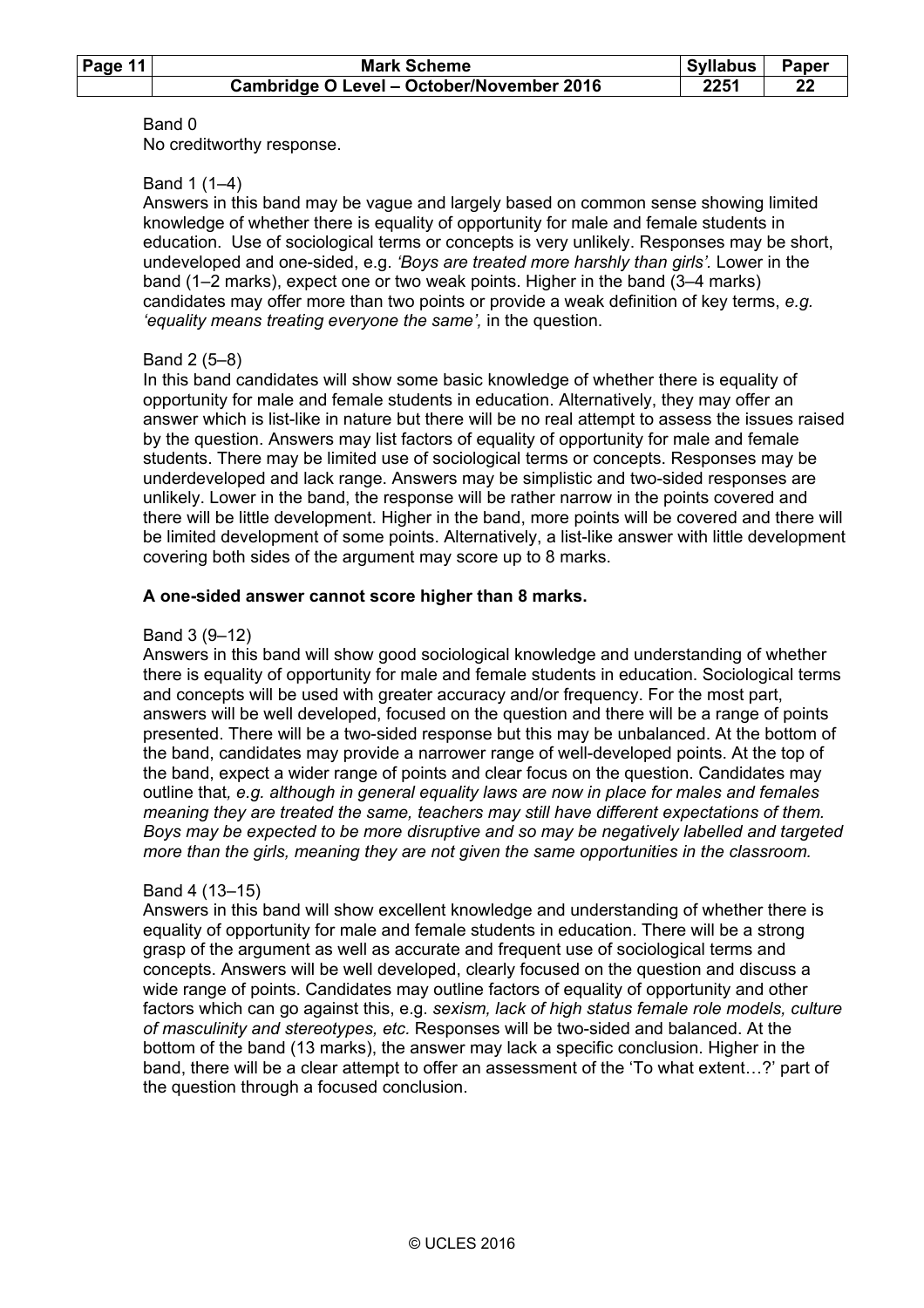| Page 11 | <b>Mark Scheme</b>                        | <b>Syllabus</b> | <b>Paper</b> |
|---------|-------------------------------------------|-----------------|--------------|
|         | Cambridge O Level - October/November 2016 | 2251            |              |

No creditworthy response.

### Band 1 (1–4)

 Answers in this band may be vague and largely based on common sense showing limited knowledge of whether there is equality of opportunity for male and female students in education. Use of sociological terms or concepts is very unlikely. Responses may be short, undeveloped and one-sided, e.g. *'Boys are treated more harshly than girls'.* Lower in the band (1–2 marks), expect one or two weak points. Higher in the band (3–4 marks) candidates may offer more than two points or provide a weak definition of key terms, *e.g. 'equality means treating everyone the same',* in the question.

### Band 2 (5–8)

 In this band candidates will show some basic knowledge of whether there is equality of opportunity for male and female students in education. Alternatively, they may offer an answer which is list-like in nature but there will be no real attempt to assess the issues raised by the question. Answers may list factors of equality of opportunity for male and female students. There may be limited use of sociological terms or concepts. Responses may be underdeveloped and lack range. Answers may be simplistic and two-sided responses are unlikely. Lower in the band, the response will be rather narrow in the points covered and there will be little development. Higher in the band, more points will be covered and there will be limited development of some points. Alternatively, a list-like answer with little development covering both sides of the argument may score up to 8 marks.

### **A one-sided answer cannot score higher than 8 marks.**

### Band 3 (9–12)

 Answers in this band will show good sociological knowledge and understanding of whether there is equality of opportunity for male and female students in education. Sociological terms and concepts will be used with greater accuracy and/or frequency. For the most part, answers will be well developed, focused on the question and there will be a range of points presented. There will be a two-sided response but this may be unbalanced. At the bottom of the band, candidates may provide a narrower range of well-developed points. At the top of the band, expect a wider range of points and clear focus on the question. Candidates may outline that*, e.g. although in general equality laws are now in place for males and females meaning they are treated the same, teachers may still have different expectations of them. Boys may be expected to be more disruptive and so may be negatively labelled and targeted more than the girls, meaning they are not given the same opportunities in the classroom.* 

# Band 4 (13–15)

 Answers in this band will show excellent knowledge and understanding of whether there is equality of opportunity for male and female students in education. There will be a strong grasp of the argument as well as accurate and frequent use of sociological terms and concepts. Answers will be well developed, clearly focused on the question and discuss a wide range of points. Candidates may outline factors of equality of opportunity and other factors which can go against this, e.g. *sexism, lack of high status female role models, culture of masculinity and stereotypes, etc.* Responses will be two-sided and balanced. At the bottom of the band (13 marks), the answer may lack a specific conclusion. Higher in the band, there will be a clear attempt to offer an assessment of the 'To what extent…?' part of the question through a focused conclusion.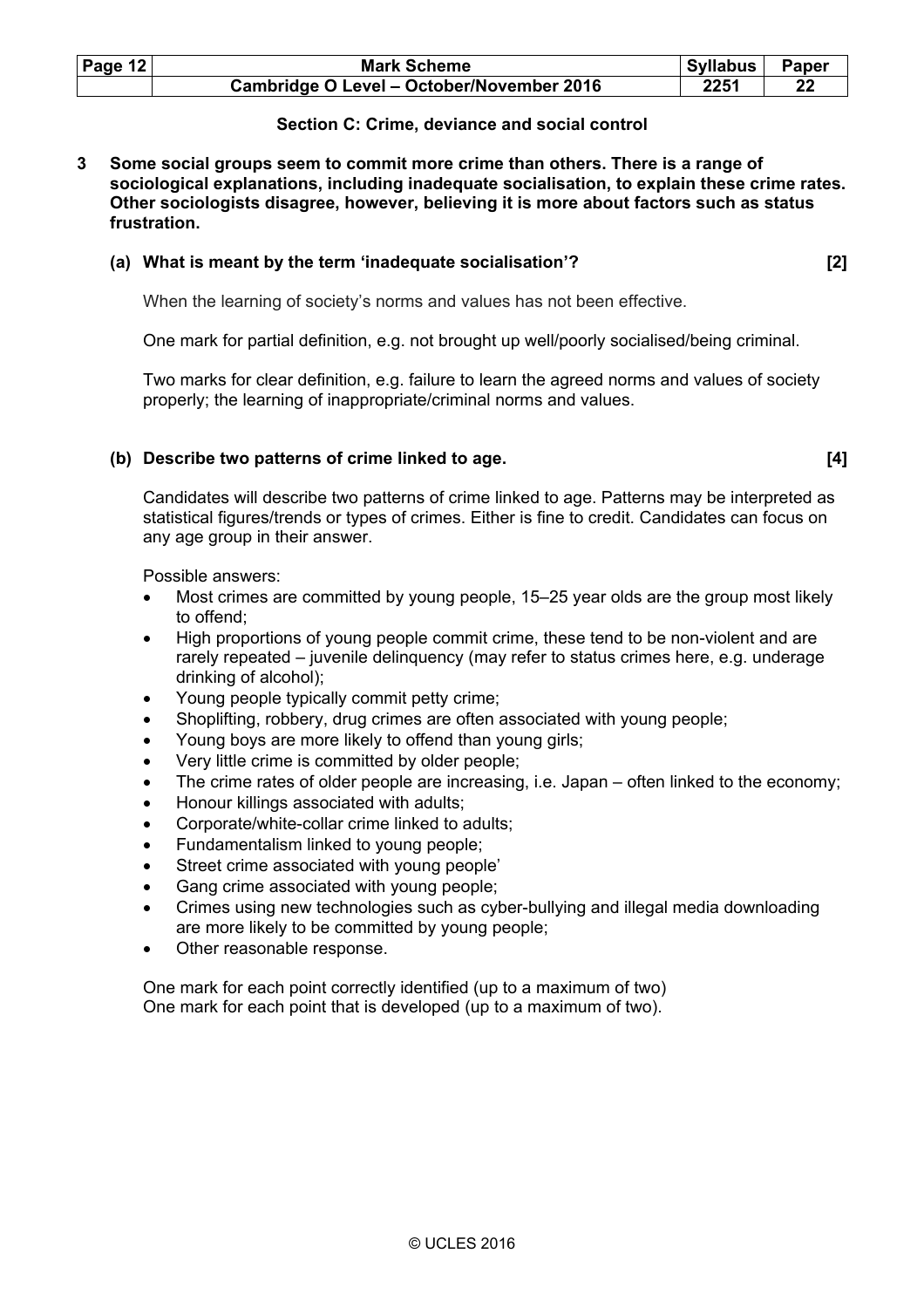| Page 12 | <b>Mark Scheme</b>                        | <b>Syllabus</b> | Paper |
|---------|-------------------------------------------|-----------------|-------|
|         | Cambridge O Level - October/November 2016 | 2251            |       |

# **Section C: Crime, deviance and social control**

**3 Some social groups seem to commit more crime than others. There is a range of sociological explanations, including inadequate socialisation, to explain these crime rates. Other sociologists disagree, however, believing it is more about factors such as status frustration.** 

#### **(a) What is meant by the term 'inadequate socialisation'? [2]**

When the learning of society's norms and values has not been effective.

One mark for partial definition, e.g. not brought up well/poorly socialised/being criminal.

 Two marks for clear definition, e.g. failure to learn the agreed norms and values of society properly; the learning of inappropriate/criminal norms and values.

### **(b) Describe two patterns of crime linked to age. [4]**

 Candidates will describe two patterns of crime linked to age. Patterns may be interpreted as statistical figures/trends or types of crimes. Either is fine to credit. Candidates can focus on any age group in their answer.

Possible answers:

- Most crimes are committed by young people, 15–25 year olds are the group most likely to offend;
- High proportions of young people commit crime, these tend to be non-violent and are rarely repeated – juvenile delinquency (may refer to status crimes here, e.g. underage drinking of alcohol);
- Young people typically commit petty crime;
- Shoplifting, robbery, drug crimes are often associated with young people;
- Young boys are more likely to offend than young girls;
- Very little crime is committed by older people;
- The crime rates of older people are increasing, i.e. Japan often linked to the economy;
- Honour killings associated with adults;
- Corporate/white-collar crime linked to adults;
- Fundamentalism linked to young people;
- Street crime associated with young people'
- Gang crime associated with young people;
- Crimes using new technologies such as cyber-bullying and illegal media downloading are more likely to be committed by young people;
- Other reasonable response.

 One mark for each point correctly identified (up to a maximum of two) One mark for each point that is developed (up to a maximum of two).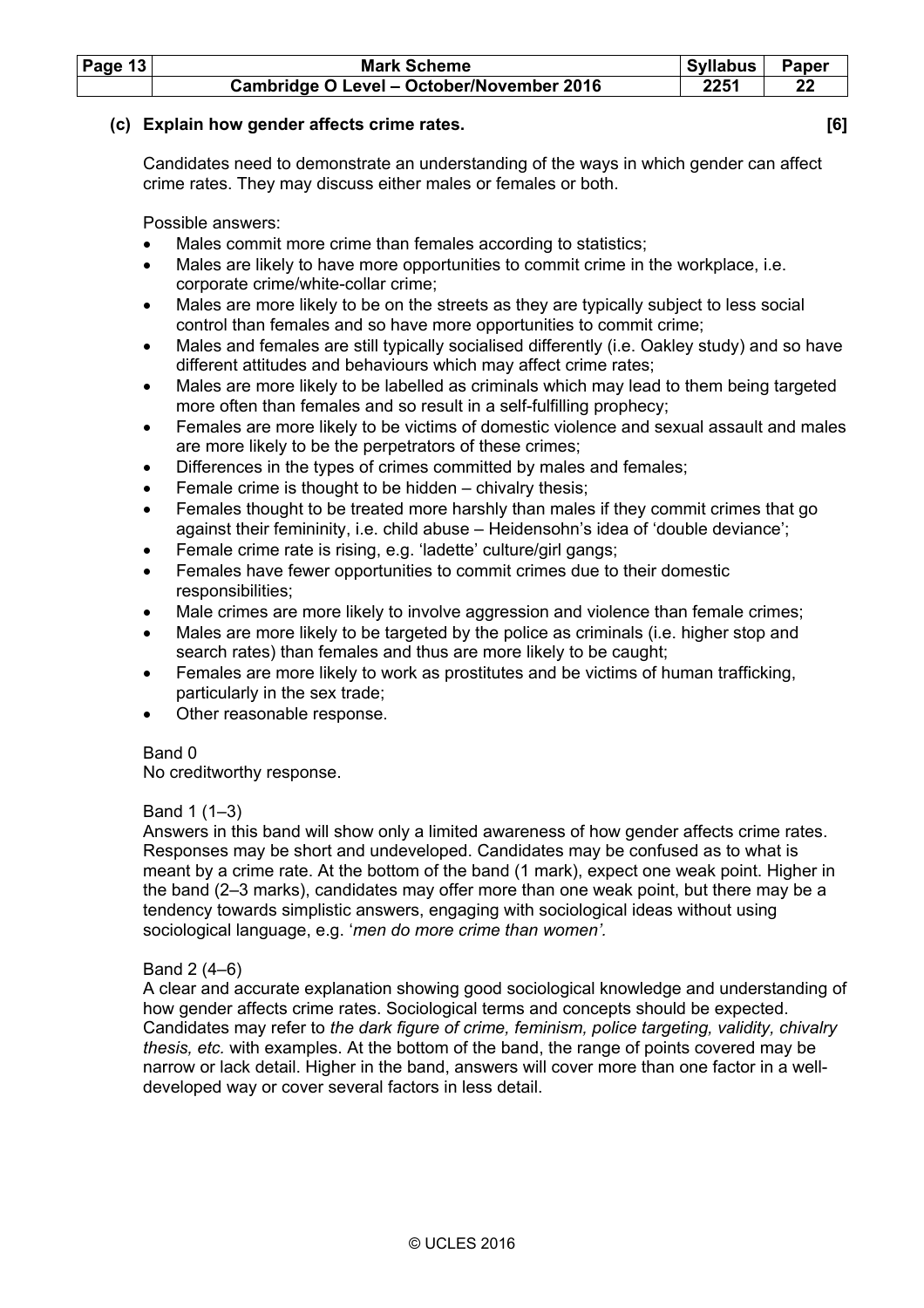| Page $13$ | <b>Mark Scheme</b>                        | Syllabus | Paper |
|-----------|-------------------------------------------|----------|-------|
|           | Cambridge O Level - October/November 2016 | 2251     |       |

# **(c) Explain how gender affects crime rates. [6]**

 Candidates need to demonstrate an understanding of the ways in which gender can affect crime rates. They may discuss either males or females or both.

Possible answers:

- Males commit more crime than females according to statistics;
- Males are likely to have more opportunities to commit crime in the workplace, i.e. corporate crime/white-collar crime;
- Males are more likely to be on the streets as they are typically subject to less social control than females and so have more opportunities to commit crime;
- Males and females are still typically socialised differently (i.e. Oakley study) and so have different attitudes and behaviours which may affect crime rates;
- Males are more likely to be labelled as criminals which may lead to them being targeted more often than females and so result in a self-fulfilling prophecy;
- Females are more likely to be victims of domestic violence and sexual assault and males are more likely to be the perpetrators of these crimes;
- Differences in the types of crimes committed by males and females;
- Female crime is thought to be hidden chivalry thesis;
- Females thought to be treated more harshly than males if they commit crimes that go against their femininity, i.e. child abuse – Heidensohn's idea of 'double deviance';
- Female crime rate is rising, e.g. 'ladette' culture/girl gangs;
- Females have fewer opportunities to commit crimes due to their domestic responsibilities;
- Male crimes are more likely to involve aggression and violence than female crimes;
- Males are more likely to be targeted by the police as criminals (i.e. higher stop and search rates) than females and thus are more likely to be caught;
- Females are more likely to work as prostitutes and be victims of human trafficking, particularly in the sex trade;
- Other reasonable response.

# Band 0

No creditworthy response.

# Band 1 (1–3)

 Answers in this band will show only a limited awareness of how gender affects crime rates. Responses may be short and undeveloped. Candidates may be confused as to what is meant by a crime rate. At the bottom of the band (1 mark), expect one weak point. Higher in the band (2–3 marks), candidates may offer more than one weak point, but there may be a tendency towards simplistic answers, engaging with sociological ideas without using sociological language, e.g. '*men do more crime than women'.* 

# Band 2 (4–6)

 A clear and accurate explanation showing good sociological knowledge and understanding of how gender affects crime rates. Sociological terms and concepts should be expected. Candidates may refer to *the dark figure of crime, feminism, police targeting, validity, chivalry thesis, etc.* with examples. At the bottom of the band, the range of points covered may be narrow or lack detail. Higher in the band, answers will cover more than one factor in a welldeveloped way or cover several factors in less detail.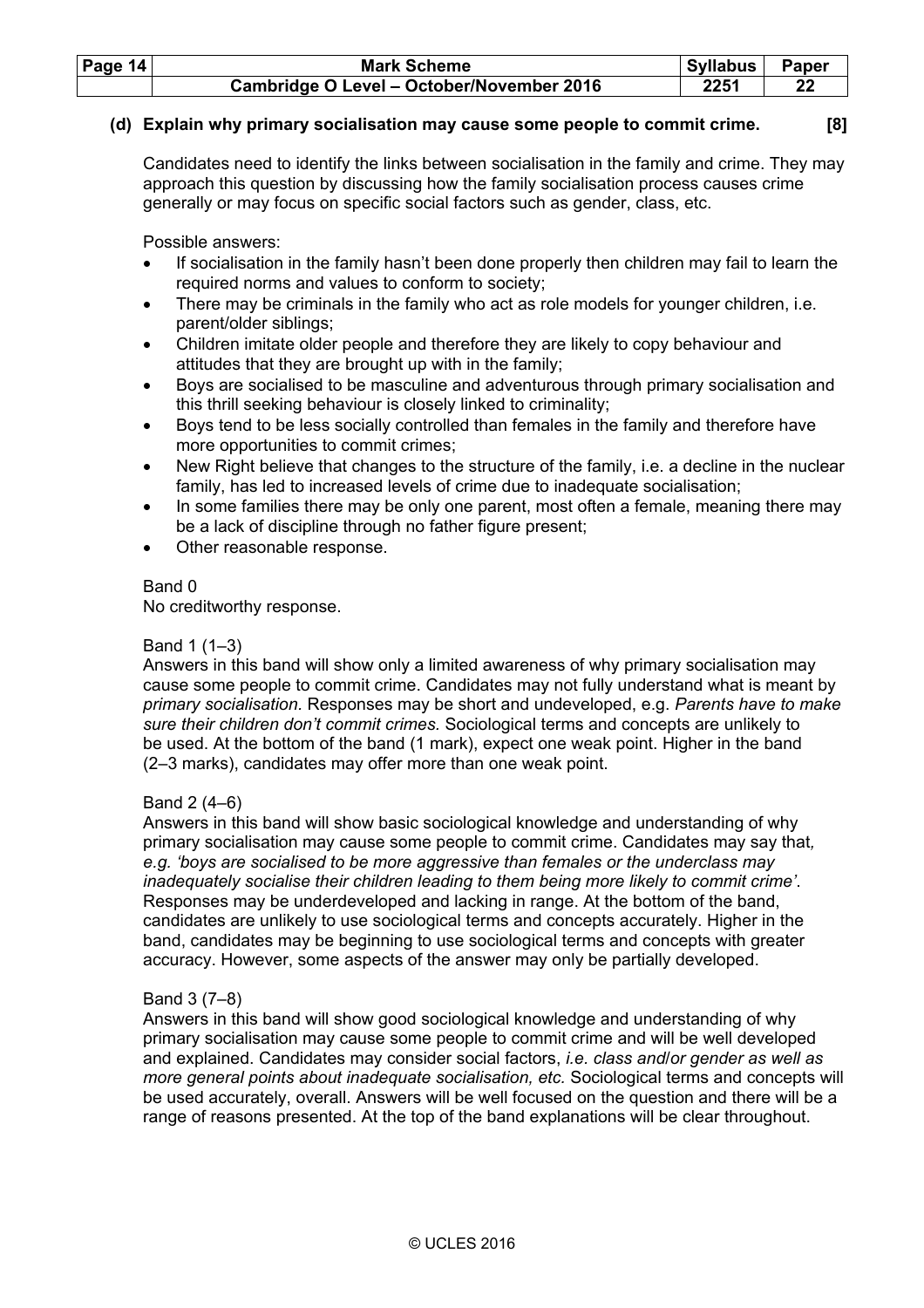| Page $14$ | <b>Mark Scheme</b>                        | Syllabus | Paper |
|-----------|-------------------------------------------|----------|-------|
|           | Cambridge O Level - October/November 2016 | 2251     |       |

# **(d) Explain why primary socialisation may cause some people to commit crime. [8]**

 Candidates need to identify the links between socialisation in the family and crime. They may approach this question by discussing how the family socialisation process causes crime generally or may focus on specific social factors such as gender, class, etc.

Possible answers:

- If socialisation in the family hasn't been done properly then children may fail to learn the required norms and values to conform to society;
- There may be criminals in the family who act as role models for younger children, i.e. parent/older siblings;
- Children imitate older people and therefore they are likely to copy behaviour and attitudes that they are brought up with in the family;
- Boys are socialised to be masculine and adventurous through primary socialisation and this thrill seeking behaviour is closely linked to criminality;
- Boys tend to be less socially controlled than females in the family and therefore have more opportunities to commit crimes;
- New Right believe that changes to the structure of the family, i.e. a decline in the nuclear family, has led to increased levels of crime due to inadequate socialisation;
- In some families there may be only one parent, most often a female, meaning there may be a lack of discipline through no father figure present;
- Other reasonable response.

# Band 0

No creditworthy response.

## Band 1 (1–3)

 Answers in this band will show only a limited awareness of why primary socialisation may cause some people to commit crime. Candidates may not fully understand what is meant by *primary socialisation.* Responses may be short and undeveloped, e.g. *Parents have to make sure their children don't commit crimes.* Sociological terms and concepts are unlikely to be used. At the bottom of the band (1 mark), expect one weak point. Higher in the band (2–3 marks), candidates may offer more than one weak point.

# Band 2 (4–6)

 Answers in this band will show basic sociological knowledge and understanding of why primary socialisation may cause some people to commit crime. Candidates may say that*, e.g. 'boys are socialised to be more aggressive than females or the underclass may inadequately socialise their children leading to them being more likely to commit crime'*. Responses may be underdeveloped and lacking in range. At the bottom of the band, candidates are unlikely to use sociological terms and concepts accurately. Higher in the band, candidates may be beginning to use sociological terms and concepts with greater accuracy. However, some aspects of the answer may only be partially developed.

# Band 3 (7–8)

 Answers in this band will show good sociological knowledge and understanding of why primary socialisation may cause some people to commit crime and will be well developed and explained. Candidates may consider social factors, *i.e. class and*/*or gender as well as more general points about inadequate socialisation, etc.* Sociological terms and concepts will be used accurately, overall. Answers will be well focused on the question and there will be a range of reasons presented. At the top of the band explanations will be clear throughout.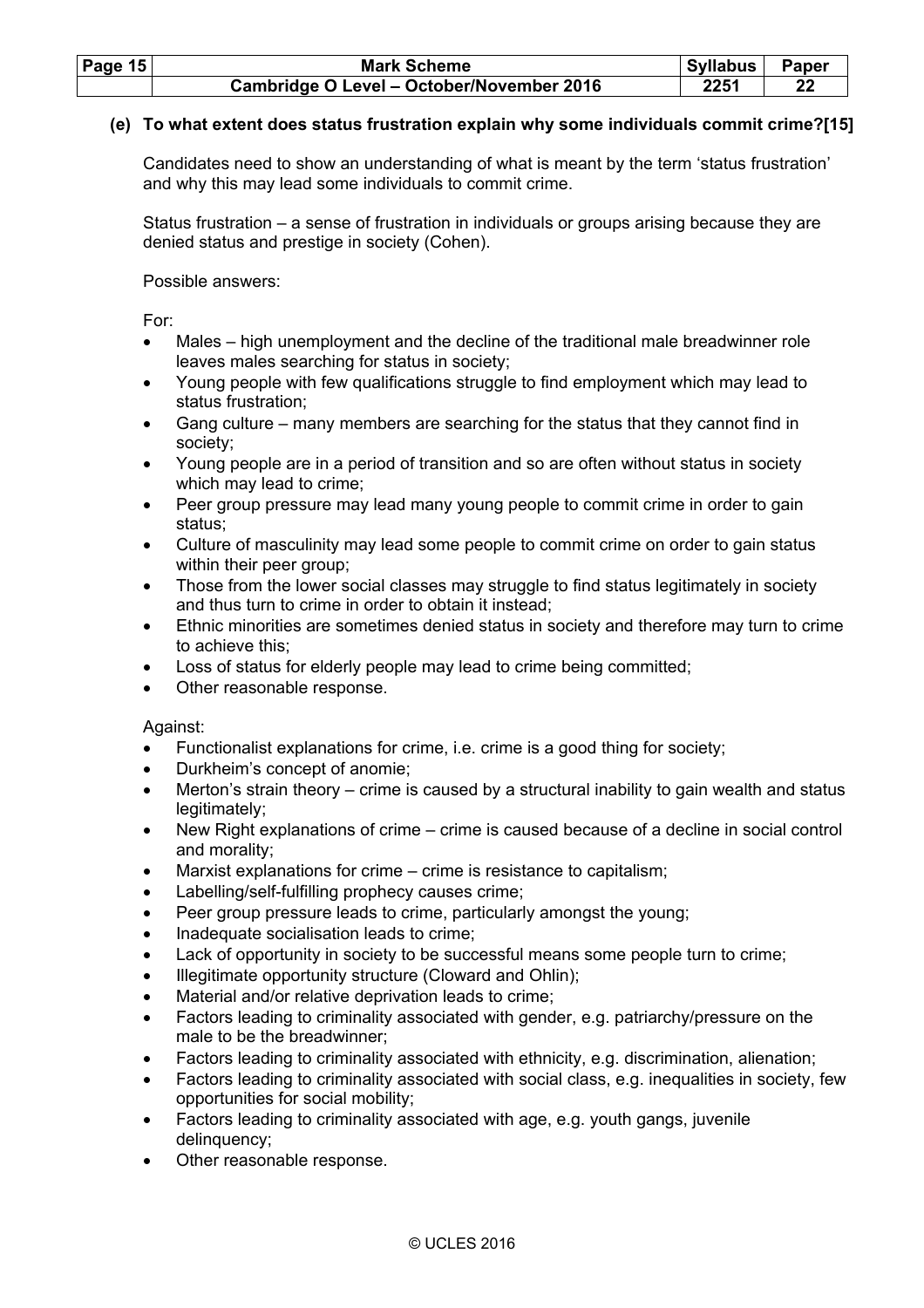| Page 15 | <b>Mark Scheme</b>                        | Syllabus | <b>Paper</b> |
|---------|-------------------------------------------|----------|--------------|
|         | Cambridge O Level - October/November 2016 | 225′     |              |

# **(e) To what extent does status frustration explain why some individuals commit crime?[15]**

 Candidates need to show an understanding of what is meant by the term 'status frustration' and why this may lead some individuals to commit crime.

 Status frustration – a sense of frustration in individuals or groups arising because they are denied status and prestige in society (Cohen).

Possible answers:

For:

- Males high unemployment and the decline of the traditional male breadwinner role leaves males searching for status in society;
- Young people with few qualifications struggle to find employment which may lead to status frustration;
- Gang culture many members are searching for the status that they cannot find in society;
- Young people are in a period of transition and so are often without status in society which may lead to crime;
- Peer group pressure may lead many young people to commit crime in order to gain status;
- Culture of masculinity may lead some people to commit crime on order to gain status within their peer group;
- Those from the lower social classes may struggle to find status legitimately in society and thus turn to crime in order to obtain it instead;
- Ethnic minorities are sometimes denied status in society and therefore may turn to crime to achieve this;
- Loss of status for elderly people may lead to crime being committed;
- Other reasonable response.

Against:

- Functionalist explanations for crime, i.e. crime is a good thing for society;
- Durkheim's concept of anomie;
- Merton's strain theory crime is caused by a structural inability to gain wealth and status legitimately;
- New Right explanations of crime crime is caused because of a decline in social control and morality;
- Marxist explanations for crime crime is resistance to capitalism;
- Labelling/self-fulfilling prophecy causes crime;
- Peer group pressure leads to crime, particularly amongst the young;
- Inadequate socialisation leads to crime;
- Lack of opportunity in society to be successful means some people turn to crime;
- Illegitimate opportunity structure (Cloward and Ohlin);
- Material and/or relative deprivation leads to crime:
- Factors leading to criminality associated with gender, e.g. patriarchy/pressure on the male to be the breadwinner;
- Factors leading to criminality associated with ethnicity, e.g. discrimination, alienation;
- Factors leading to criminality associated with social class, e.g. inequalities in society, few opportunities for social mobility;
- Factors leading to criminality associated with age, e.g. youth gangs, juvenile delinquency;
- Other reasonable response.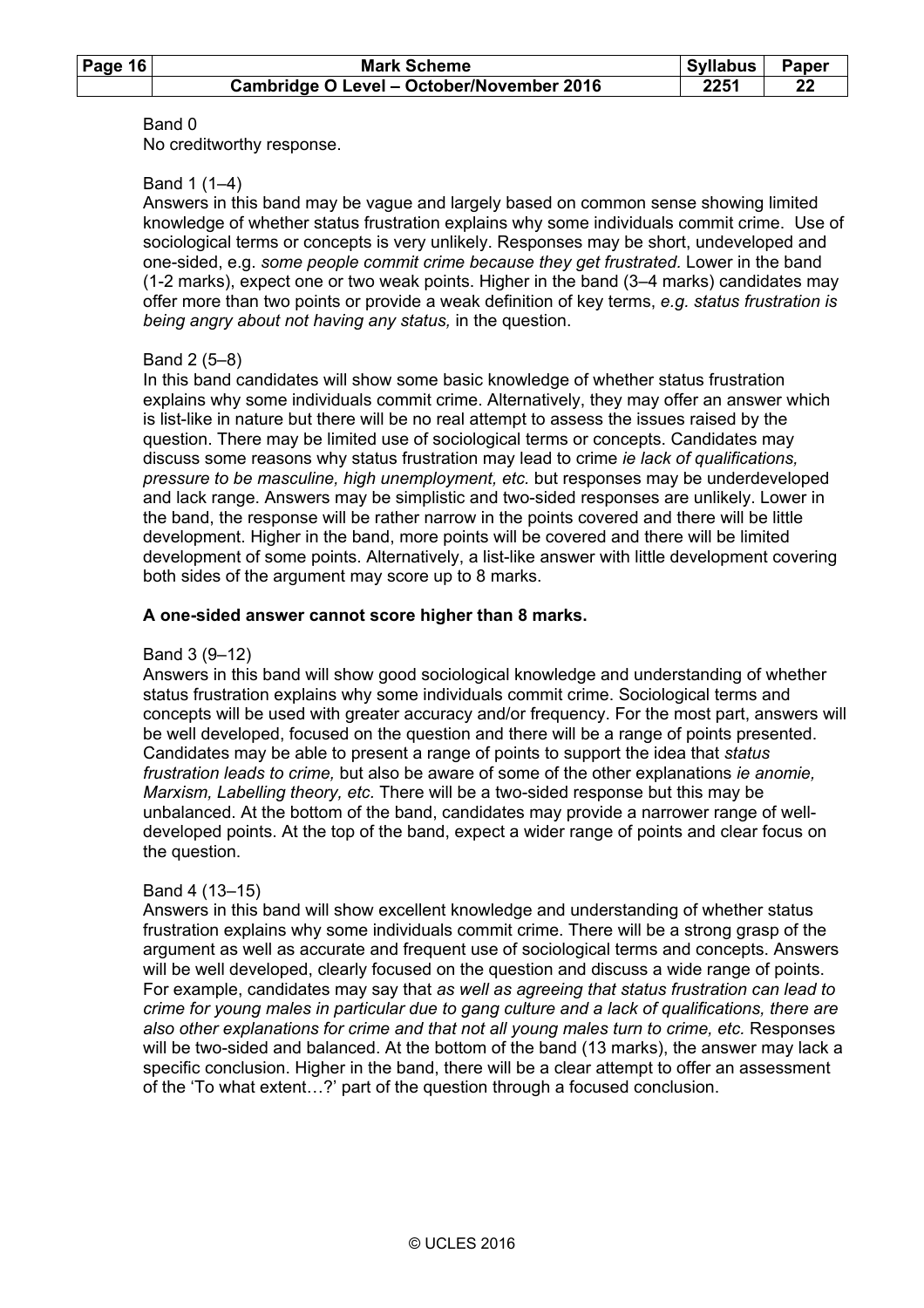No creditworthy response.

# Band 1 (1–4)

 Answers in this band may be vague and largely based on common sense showing limited knowledge of whether status frustration explains why some individuals commit crime.Use of sociological terms or concepts is very unlikely. Responses may be short, undeveloped and one-sided, e.g. *some people commit crime because they get frustrated.* Lower in the band (1-2 marks), expect one or two weak points. Higher in the band (3–4 marks) candidates may offer more than two points or provide a weak definition of key terms, *e.g. status frustration is being angry about not having any status,* in the question.

# Band 2 (5–8)

 In this band candidates will show some basic knowledge of whether status frustration explains why some individuals commit crime. Alternatively, they may offer an answer which is list-like in nature but there will be no real attempt to assess the issues raised by the question. There may be limited use of sociological terms or concepts. Candidates may discuss some reasons why status frustration may lead to crime *ie lack of qualifications, pressure to be masculine, high unemployment, etc.* but responses may be underdeveloped and lack range. Answers may be simplistic and two-sided responses are unlikely. Lower in the band, the response will be rather narrow in the points covered and there will be little development. Higher in the band, more points will be covered and there will be limited development of some points. Alternatively, a list-like answer with little development covering both sides of the argument may score up to 8 marks.

# **A one-sided answer cannot score higher than 8 marks.**

# Band 3 (9–12)

 Answers in this band will show good sociological knowledge and understanding of whether status frustration explains why some individuals commit crime. Sociological terms and concepts will be used with greater accuracy and/or frequency. For the most part, answers will be well developed, focused on the question and there will be a range of points presented. Candidates may be able to present a range of points to support the idea that *status frustration leads to crime,* but also be aware of some of the other explanations *ie anomie, Marxism, Labelling theory, etc.* There will be a two-sided response but this may be unbalanced. At the bottom of the band, candidates may provide a narrower range of welldeveloped points. At the top of the band, expect a wider range of points and clear focus on the question.

# Band 4 (13–15)

 Answers in this band will show excellent knowledge and understanding of whether status frustration explains why some individuals commit crime. There will be a strong grasp of the argument as well as accurate and frequent use of sociological terms and concepts. Answers will be well developed, clearly focused on the question and discuss a wide range of points. For example, candidates may say that *as well as agreeing that status frustration can lead to crime for young males in particular due to gang culture and a lack of qualifications, there are also other explanations for crime and that not all young males turn to crime, etc.* Responses will be two-sided and balanced. At the bottom of the band (13 marks), the answer may lack a specific conclusion. Higher in the band, there will be a clear attempt to offer an assessment of the 'To what extent…?' part of the question through a focused conclusion.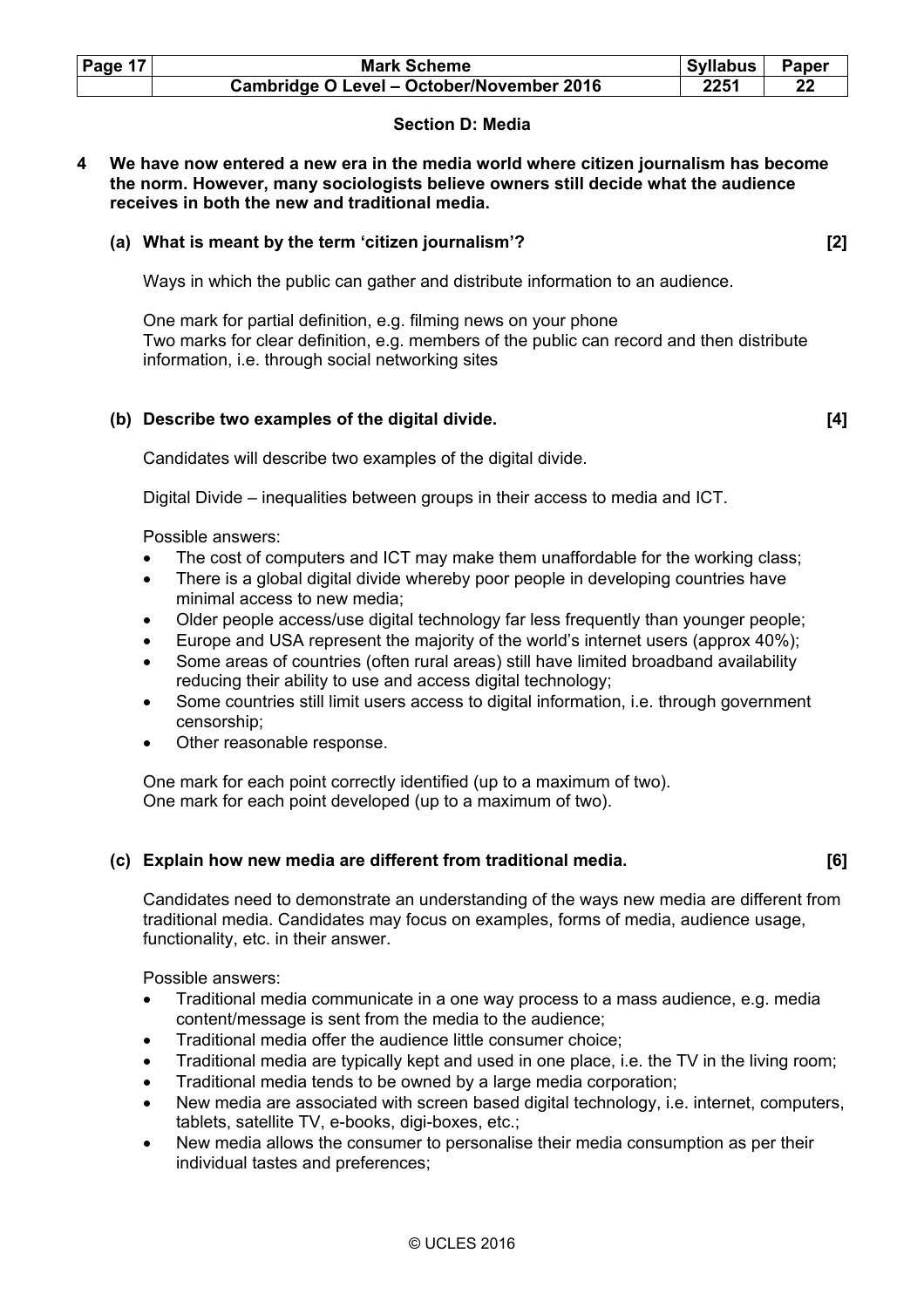| Page 17 | <b>Mark Scheme</b>                        | <b>Syllabus</b> | <b>Paper</b> |
|---------|-------------------------------------------|-----------------|--------------|
|         | Cambridge O Level - October/November 2016 | 2251            |              |

# **Section D: Media**

**4 We have now entered a new era in the media world where citizen journalism has become the norm. However, many sociologists believe owners still decide what the audience receives in both the new and traditional media.** 

# **(a) What is meant by the term 'citizen journalism'? [2]**

Ways in which the public can gather and distribute information to an audience.

 One mark for partial definition, e.g. filming news on your phone Two marks for clear definition, e.g. members of the public can record and then distribute information, i.e. through social networking sites

# **(b) Describe two examples of the digital divide. [4]**

Candidates will describe two examples of the digital divide.

Digital Divide – inequalities between groups in their access to media and ICT.

Possible answers:

- The cost of computers and ICT may make them unaffordable for the working class;
- There is a global digital divide whereby poor people in developing countries have minimal access to new media;
- Older people access/use digital technology far less frequently than younger people;
- Europe and USA represent the majority of the world's internet users (approx 40%);
- Some areas of countries (often rural areas) still have limited broadband availability reducing their ability to use and access digital technology;
- Some countries still limit users access to digital information, i.e. through government censorship;
- Other reasonable response.

 One mark for each point correctly identified (up to a maximum of two). One mark for each point developed (up to a maximum of two).

# **(c) Explain how new media are different from traditional media. [6]**

 Candidates need to demonstrate an understanding of the ways new media are different from traditional media. Candidates may focus on examples, forms of media, audience usage, functionality, etc. in their answer.

Possible answers:

- Traditional media communicate in a one way process to a mass audience, e.g. media content/message is sent from the media to the audience;
- Traditional media offer the audience little consumer choice;
- Traditional media are typically kept and used in one place, i.e. the TV in the living room;
- Traditional media tends to be owned by a large media corporation;
- New media are associated with screen based digital technology, i.e. internet, computers, tablets, satellite TV, e-books, digi-boxes, etc.;
- New media allows the consumer to personalise their media consumption as per their individual tastes and preferences;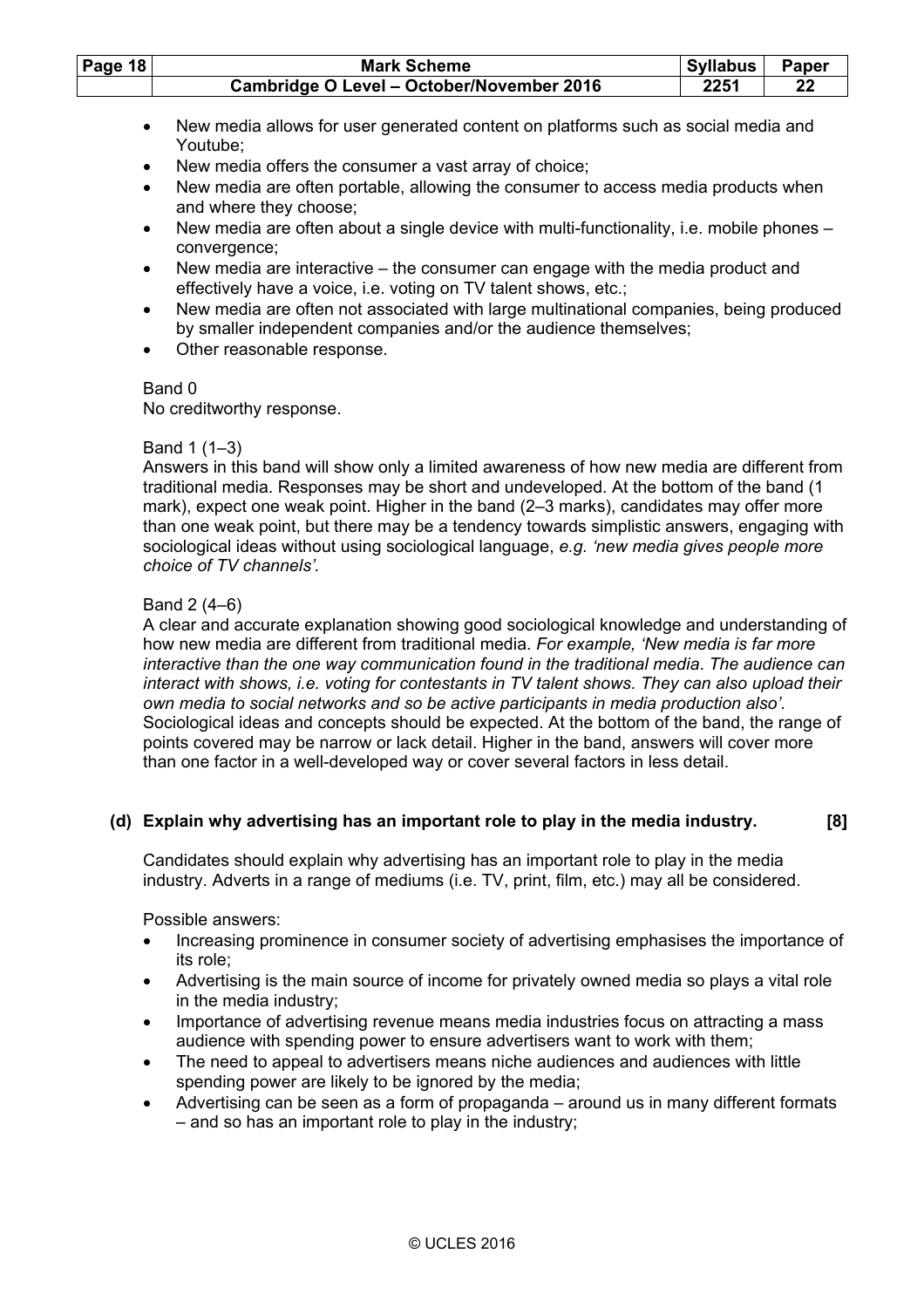| Page $18$ | <b>Mark Scheme</b>                        | Syllabus | Paper |
|-----------|-------------------------------------------|----------|-------|
|           | Cambridge O Level - October/November 2016 | 2251     |       |

- New media allows for user generated content on platforms such as social media and Youtube;
- New media offers the consumer a vast array of choice;
- New media are often portable, allowing the consumer to access media products when and where they choose;
- New media are often about a single device with multi-functionality, i.e. mobile phones convergence;
- New media are interactive the consumer can engage with the media product and effectively have a voice, i.e. voting on TV talent shows, etc.;
- New media are often not associated with large multinational companies, being produced by smaller independent companies and/or the audience themselves;
- Other reasonable response.

No creditworthy response.

# Band 1 (1–3)

 Answers in this band will show only a limited awareness of how new media are different from traditional media. Responses may be short and undeveloped. At the bottom of the band (1 mark), expect one weak point. Higher in the band (2–3 marks), candidates may offer more than one weak point, but there may be a tendency towards simplistic answers, engaging with sociological ideas without using sociological language, *e.g. 'new media gives people more choice of TV channels'.* 

# Band 2 (4–6)

 A clear and accurate explanation showing good sociological knowledge and understanding of how new media are different from traditional media. *For example, 'New media is far more interactive than the one way communication found in the traditional media*. *The audience can interact with shows, i.e. voting for contestants in TV talent shows. They can also upload their own media to social networks and so be active participants in media production also'.* Sociological ideas and concepts should be expected. At the bottom of the band, the range of points covered may be narrow or lack detail. Higher in the band, answers will cover more than one factor in a well-developed way or cover several factors in less detail.

# **(d) Explain why advertising has an important role to play in the media industry. [8]**

Candidates should explain why advertising has an important role to play in the media industry. Adverts in a range of mediums (i.e. TV, print, film, etc.) may all be considered.

Possible answers:

- Increasing prominence in consumer society of advertising emphasises the importance of its role;
- Advertising is the main source of income for privately owned media so plays a vital role in the media industry;
- Importance of advertising revenue means media industries focus on attracting a mass audience with spending power to ensure advertisers want to work with them;
- The need to appeal to advertisers means niche audiences and audiences with little spending power are likely to be ignored by the media;
- Advertising can be seen as a form of propaganda around us in many different formats – and so has an important role to play in the industry;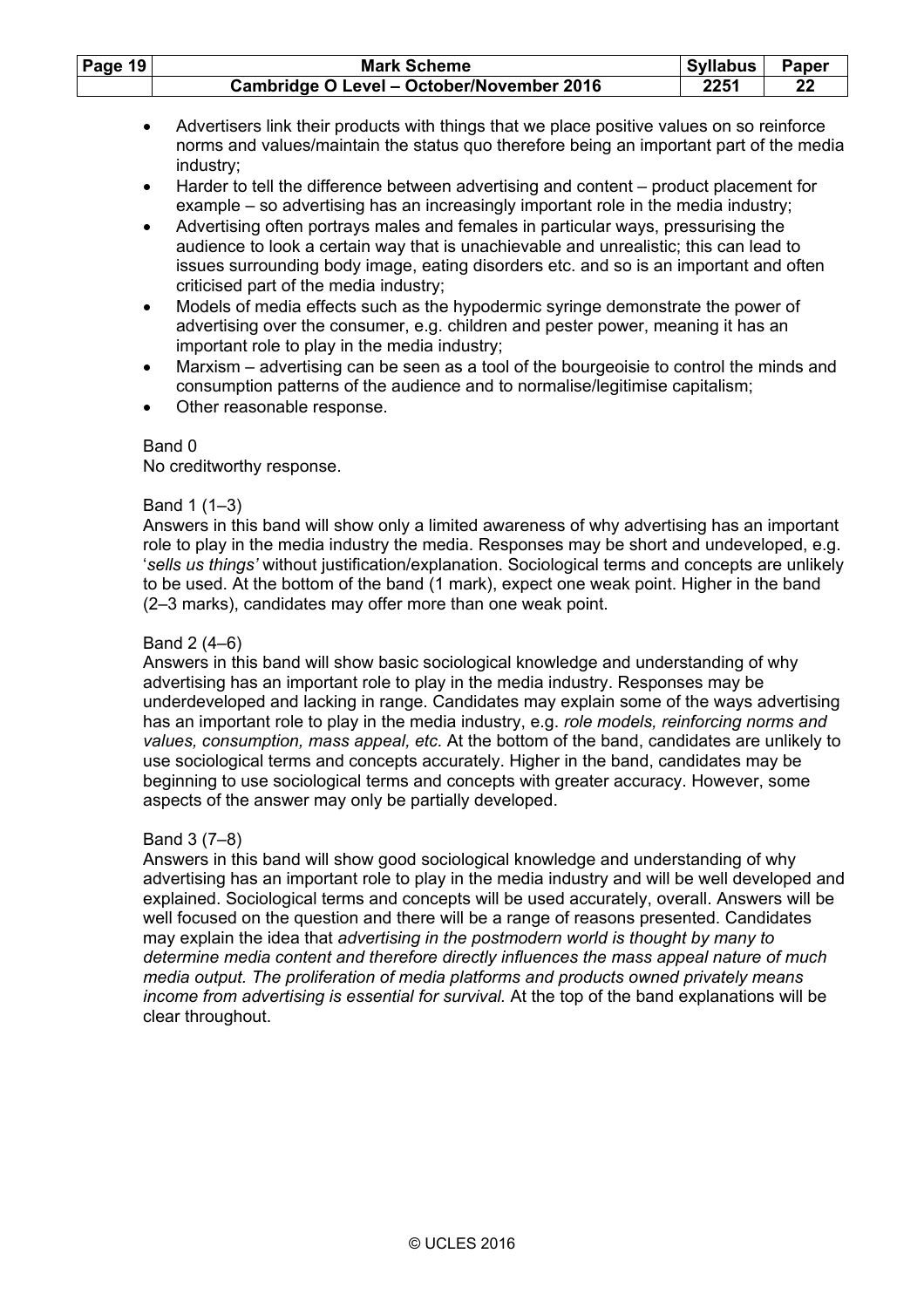| Page $19$ | <b>Mark Scheme</b>                        | . Svllabus | <b>Paper</b> |
|-----------|-------------------------------------------|------------|--------------|
|           | Cambridge O Level - October/November 2016 | 2251       | 22           |

- Advertisers link their products with things that we place positive values on so reinforce norms and values/maintain the status quo therefore being an important part of the media industry;
- Harder to tell the difference between advertising and content product placement for example – so advertising has an increasingly important role in the media industry;
- Advertising often portrays males and females in particular ways, pressurising the audience to look a certain way that is unachievable and unrealistic; this can lead to issues surrounding body image, eating disorders etc. and so is an important and often criticised part of the media industry;
- Models of media effects such as the hypodermic syringe demonstrate the power of advertising over the consumer, e.g. children and pester power, meaning it has an important role to play in the media industry;
- Marxism advertising can be seen as a tool of the bourgeoisie to control the minds and consumption patterns of the audience and to normalise/legitimise capitalism;
- Other reasonable response.

No creditworthy response.

### Band 1 (1–3)

 Answers in this band will show only a limited awareness of why advertising has an important role to play in the media industry the media. Responses may be short and undeveloped, e.g. '*sells us things'* without justification/explanation. Sociological terms and concepts are unlikely to be used. At the bottom of the band (1 mark), expect one weak point. Higher in the band (2–3 marks), candidates may offer more than one weak point.

### Band 2 (4–6)

 Answers in this band will show basic sociological knowledge and understanding of why advertising has an important role to play in the media industry. Responses may be underdeveloped and lacking in range. Candidates may explain some of the ways advertising has an important role to play in the media industry, e.g. *role models, reinforcing norms and values, consumption, mass appeal, etc.* At the bottom of the band, candidates are unlikely to use sociological terms and concepts accurately. Higher in the band, candidates may be beginning to use sociological terms and concepts with greater accuracy. However, some aspects of the answer may only be partially developed.

# Band 3 (7–8)

 Answers in this band will show good sociological knowledge and understanding of why advertising has an important role to play in the media industry and will be well developed and explained. Sociological terms and concepts will be used accurately, overall. Answers will be well focused on the question and there will be a range of reasons presented. Candidates may explain the idea that *advertising in the postmodern world is thought by many to determine media content and therefore directly influences the mass appeal nature of much media output. The proliferation of media platforms and products owned privately means income from advertising is essential for survival.* At the top of the band explanations will be clear throughout.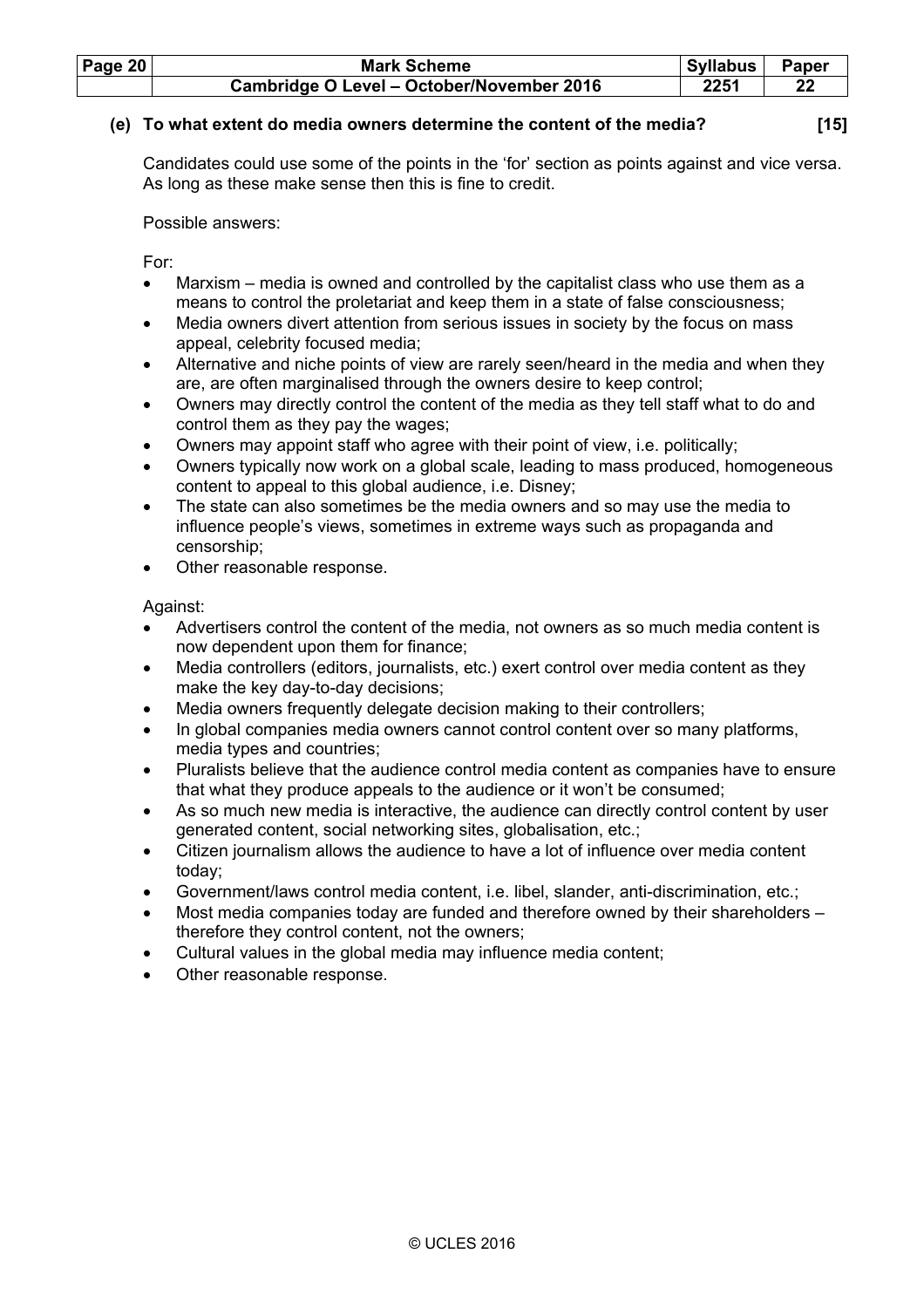| <b>Page 20</b> | <b>Mark Scheme</b>                        | Syllabus | Paper |
|----------------|-------------------------------------------|----------|-------|
|                | Cambridge O Level - October/November 2016 | 2251     |       |

# **(e) To what extent do media owners determine the content of the media? [15]**

 Candidates could use some of the points in the 'for' section as points against and vice versa. As long as these make sense then this is fine to credit.

Possible answers:

For:

- Marxism media is owned and controlled by the capitalist class who use them as a means to control the proletariat and keep them in a state of false consciousness;
- Media owners divert attention from serious issues in society by the focus on mass appeal, celebrity focused media;
- Alternative and niche points of view are rarely seen/heard in the media and when they are, are often marginalised through the owners desire to keep control;
- Owners may directly control the content of the media as they tell staff what to do and control them as they pay the wages;
- Owners may appoint staff who agree with their point of view, i.e. politically;
- Owners typically now work on a global scale, leading to mass produced, homogeneous content to appeal to this global audience, i.e. Disney;
- The state can also sometimes be the media owners and so may use the media to influence people's views, sometimes in extreme ways such as propaganda and censorship;
- Other reasonable response.

Against:

- Advertisers control the content of the media, not owners as so much media content is now dependent upon them for finance;
- Media controllers (editors, journalists, etc.) exert control over media content as they make the key day-to-day decisions;
- Media owners frequently delegate decision making to their controllers:
- In global companies media owners cannot control content over so many platforms, media types and countries;
- Pluralists believe that the audience control media content as companies have to ensure that what they produce appeals to the audience or it won't be consumed;
- As so much new media is interactive, the audience can directly control content by user generated content, social networking sites, globalisation, etc.;
- Citizen journalism allows the audience to have a lot of influence over media content today;
- Government/laws control media content, i.e. libel, slander, anti-discrimination, etc.;
- Most media companies today are funded and therefore owned by their shareholders therefore they control content, not the owners;
- Cultural values in the global media may influence media content;
- Other reasonable response.